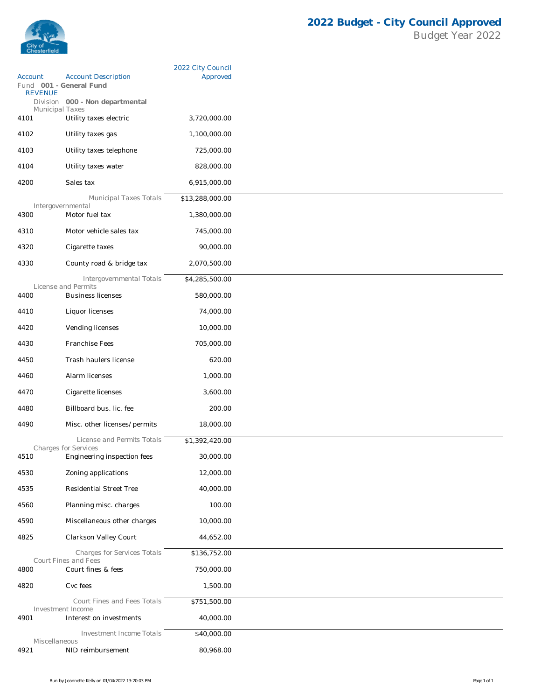

|                                           |                                                            | 2022 City Council |
|-------------------------------------------|------------------------------------------------------------|-------------------|
| Account                                   | <b>Account Description</b>                                 | Approved          |
| Fund 001 - General Fund<br><b>REVENUE</b> |                                                            |                   |
|                                           | Division 000 - Non departmental                            |                   |
| Municipal Taxes<br>4101                   | Utility taxes electric                                     | 3,720,000.00      |
| 4102                                      | Utility taxes gas                                          | 1,100,000.00      |
|                                           |                                                            |                   |
| 4103                                      | Utility taxes telephone                                    | 725,000.00        |
| 4104                                      | Utility taxes water                                        | 828,000.00        |
| 4200                                      | Sales tax                                                  | 6,915,000.00      |
|                                           | Municipal Taxes Totals                                     | \$13,288,000.00   |
| 4300                                      | Intergovernmental<br>Motor fuel tax                        | 1,380,000.00      |
|                                           |                                                            |                   |
| 4310                                      | Motor vehicle sales tax                                    | 745,000.00        |
| 4320                                      | Cigarette taxes                                            | 90,000.00         |
| 4330                                      | County road & bridge tax                                   | 2,070,500.00      |
|                                           | Intergovernmental Totals                                   | \$4,285,500.00    |
|                                           | License and Permits                                        |                   |
| 4400                                      | <b>Business licenses</b>                                   | 580,000.00        |
| 4410                                      | Liquor licenses                                            | 74,000.00         |
| 4420                                      | Vending licenses                                           | 10,000.00         |
| 4430                                      | Franchise Fees                                             | 705,000.00        |
| 4450                                      | Trash haulers license                                      | 620.00            |
| 4460                                      | Alarm licenses                                             | 1,000.00          |
| 4470                                      | Cigarette licenses                                         | 3,600.00          |
|                                           |                                                            |                   |
| 4480                                      | Billboard bus. lic. fee                                    | 200.00            |
| 4490                                      | Misc. other licenses/permits                               | 18,000.00         |
|                                           | License and Permits Totals                                 | \$1,392,420.00    |
| 4510                                      | <b>Charges for Services</b><br>Engineering inspection fees | 30,000.00         |
| 4530                                      | Zoning applications                                        | 12,000.00         |
| 4535                                      | Residential Street Tree                                    | 40,000.00         |
|                                           |                                                            |                   |
| 4560                                      | Planning misc. charges                                     | 100.00            |
| 4590                                      | Miscellaneous other charges                                | 10,000.00         |
| 4825                                      | Clarkson Valley Court                                      | 44,652.00         |
|                                           | Charges for Services Totals                                | \$136,752.00      |
| 4800                                      | <b>Court Fines and Fees</b><br>Court fines & fees          | 750,000.00        |
| 4820                                      | Cvc fees                                                   | 1,500.00          |
|                                           | Court Fines and Fees Totals                                |                   |
|                                           | Investment Income                                          | \$751,500.00      |
| 4901                                      | Interest on investments                                    | 40,000.00         |
|                                           | Investment Income Totals                                   | \$40,000.00       |
| Miscellaneous<br>4921                     | NID reimbursement                                          | 80,968.00         |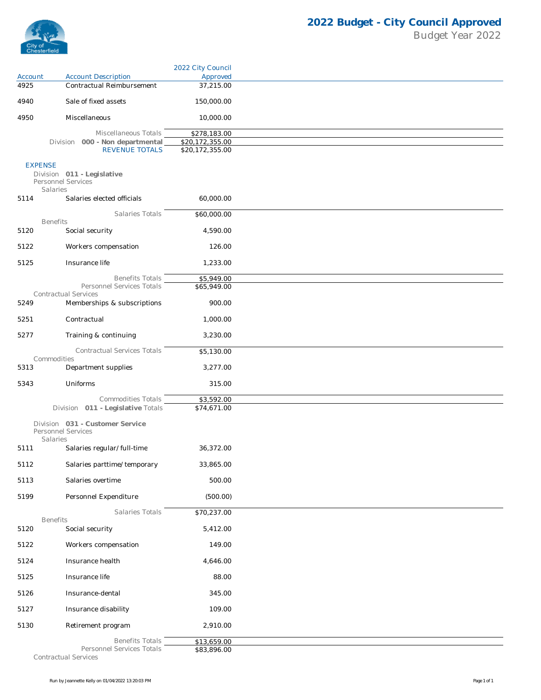

|                |                                                                   | 2022 City Council |
|----------------|-------------------------------------------------------------------|-------------------|
| Account        | <b>Account Description</b>                                        | Approved          |
| 4925           | Contractual Reimbursement                                         | 37,215.00         |
| 4940           | Sale of fixed assets                                              | 150,000.00        |
| 4950           | Miscellaneous                                                     | 10,000.00         |
|                | Miscellaneous Totals                                              | \$278,183.00      |
|                | Division 000 - Non departmental                                   | \$20,172,355.00   |
|                | <b>REVENUE TOTALS</b>                                             | \$20,172,355.00   |
| <b>EXPENSE</b> | Division 011 - Legislative<br>Personnel Services<br>Salaries      |                   |
| 5114           | Salaries elected officials                                        | 60,000.00         |
|                | Salaries Totals                                                   | \$60,000.00       |
| 5120           | <b>Benefits</b><br>Social security                                | 4,590.00          |
|                |                                                                   |                   |
| 5122           | Workers compensation                                              | 126.00            |
| 5125           | Insurance life                                                    | 1,233.00          |
|                | <b>Benefits Totals</b>                                            | \$5,949.00        |
|                | Personnel Services Totals                                         | \$65,949.00       |
| 5249           | <b>Contractual Services</b><br>Memberships & subscriptions        | 900.00            |
| 5251           | Contractual                                                       | 1,000.00          |
|                |                                                                   |                   |
| 5277           | Training & continuing                                             | 3,230.00          |
|                | Contractual Services Totals<br>Commodities                        | \$5,130.00        |
| 5313           | Department supplies                                               | 3,277.00          |
| 5343           | Uniforms                                                          | 315.00            |
|                | Commodities Totals                                                | \$3,592.00        |
|                | Division 011 - Legislative Totals                                 | \$74,671.00       |
|                | Division 031 - Customer Service<br>Personnel Services<br>Salaries |                   |
| 5111           | Salaries regular/full-time                                        | 36,372.00         |
| 5112           | Salaries parttime/temporary                                       | 33,865.00         |
| 5113           | Salaries overtime                                                 | 500.00            |
| 5199           | Personnel Expenditure                                             | (500.00)          |
|                | Salaries Totals                                                   | \$70,237.00       |
| 5120           | <b>Benefits</b><br>Social security                                | 5,412.00          |
| 5122           | Workers compensation                                              | 149.00            |
| 5124           | Insurance health                                                  | 4,646.00          |
|                |                                                                   |                   |
| 5125           | Insurance life                                                    | 88.00             |
| 5126           | Insurance-dental                                                  | 345.00            |
| 5127           | Insurance disability                                              | 109.00            |
| 5130           | Retirement program                                                | 2,910.00          |
|                | <b>Benefits Totals</b>                                            | \$13,659.00       |
|                | Personnel Services Totals                                         | \$83,896.00       |

*Contractual Services*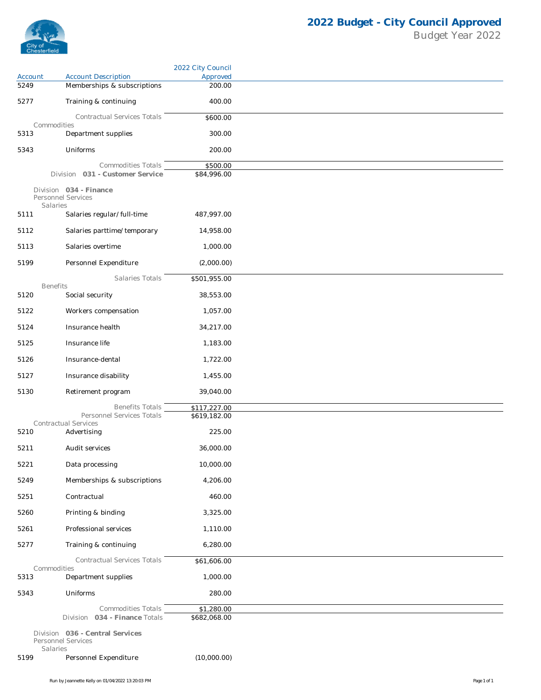

|         |                                                          | 2022 City Council          |
|---------|----------------------------------------------------------|----------------------------|
| Account | <b>Account Description</b>                               | Approved                   |
| 5249    | Memberships & subscriptions                              | 200.00                     |
| 5277    | Training & continuing                                    | 400.00                     |
|         | Contractual Services Totals<br>Commodities               | \$600.00                   |
| 5313    | Department supplies                                      | 300.00                     |
| 5343    | Uniforms                                                 | 200.00                     |
|         | Commodities Totals                                       | \$500.00                   |
|         | Division 031 - Customer Service                          | \$84,996.00                |
|         | Division 034 - Finance<br>Personnel Services<br>Salaries |                            |
| 5111    | Salaries regular/full-time                               | 487,997.00                 |
| 5112    | Salaries parttime/temporary                              | 14,958.00                  |
| 5113    | Salaries overtime                                        | 1,000.00                   |
| 5199    | Personnel Expenditure                                    | (2,000.00)                 |
|         | Salaries Totals                                          | \$501,955.00               |
| 5120    | <b>Benefits</b><br>Social security                       | 38,553.00                  |
| 5122    | Workers compensation                                     | 1,057.00                   |
| 5124    | Insurance health                                         | 34,217.00                  |
| 5125    | Insurance life                                           | 1,183.00                   |
|         |                                                          |                            |
| 5126    | Insurance-dental                                         | 1,722.00                   |
| 5127    | Insurance disability                                     | 1,455.00                   |
| 5130    | Retirement program                                       | 39,040.00                  |
|         | <b>Benefits Totals</b><br>Personnel Services Totals      | \$117,227.00               |
|         | Contractual Services                                     | \$619,182.00               |
| 5210    | Advertising                                              | 225.00                     |
| 5211    | Audit services                                           | 36,000.00                  |
| 5221    | Data processing                                          | 10,000.00                  |
| 5249    | Memberships & subscriptions                              | 4,206.00                   |
| 5251    | Contractual                                              | 460.00                     |
| 5260    | Printing & binding                                       | 3,325.00                   |
| 5261    | Professional services                                    | 1,110.00                   |
| 5277    | Training & continuing                                    | 6,280.00                   |
|         | Contractual Services Totals                              | \$61,606.00                |
| 5313    | Commodities<br>Department supplies                       | 1,000.00                   |
| 5343    | Uniforms                                                 | 280.00                     |
|         |                                                          |                            |
|         | Commodities Totals<br>Division 034 - Finance Totals      | \$1,280.00<br>\$682,068.00 |
|         | Division 036 - Central Services<br>Personnel Services    |                            |
| 5199    | Salaries<br>Personnel Expenditure                        | (10,000.00)                |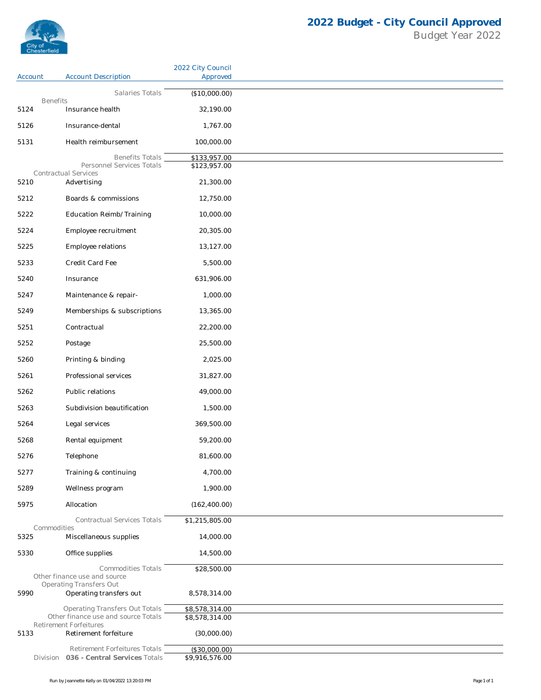

|                         |                                                                      | 2022 City Council |
|-------------------------|----------------------------------------------------------------------|-------------------|
| Account                 | <b>Account Description</b>                                           | Approved          |
|                         | Salaries Totals                                                      | (\$10,000.00)     |
| <b>Benefits</b><br>5124 | Insurance health                                                     | 32,190.00         |
|                         |                                                                      |                   |
| 5126                    | Insurance-dental                                                     | 1,767.00          |
| 5131                    | Health reimbursement                                                 | 100,000.00        |
|                         | <b>Benefits Totals</b><br>Personnel Services Totals                  | \$133,957.00      |
|                         | Contractual Services                                                 | \$123,957.00      |
| 5210                    | Advertising                                                          | 21,300.00         |
| 5212                    | Boards & commissions                                                 | 12,750.00         |
| 5222                    | Education Reimb/Training                                             | 10,000.00         |
| 5224                    | Employee recruitment                                                 | 20,305.00         |
| 5225                    | Employee relations                                                   | 13,127.00         |
| 5233                    | Credit Card Fee                                                      | 5,500.00          |
| 5240                    | Insurance                                                            | 631,906.00        |
| 5247                    | Maintenance & repair-                                                | 1,000.00          |
| 5249                    | Memberships & subscriptions                                          | 13,365.00         |
| 5251                    | Contractual                                                          | 22,200.00         |
| 5252                    | Postage                                                              | 25,500.00         |
| 5260                    | Printing & binding                                                   | 2,025.00          |
| 5261                    | Professional services                                                | 31,827.00         |
|                         |                                                                      |                   |
| 5262                    | Public relations                                                     | 49,000.00         |
| 5263                    | Subdivision beautification                                           | 1,500.00          |
| 5264                    | Legal services                                                       | 369,500.00        |
| 5268                    | Rental equipment                                                     | 59,200.00         |
| 5276                    | Telephone                                                            | 81,600.00         |
| 5277                    | Training & continuing                                                | 4,700.00          |
| 5289                    | Wellness program                                                     | 1,900.00          |
| 5975                    | Allocation                                                           | (162, 400.00)     |
|                         | Contractual Services Totals                                          | \$1,215,805.00    |
| Commodities<br>5325     | Miscellaneous supplies                                               | 14,000.00         |
| 5330                    | Office supplies                                                      | 14,500.00         |
|                         | <b>Commodities Totals</b>                                            | \$28,500.00       |
|                         | Other finance use and source<br><b>Operating Transfers Out</b>       |                   |
| 5990                    | Operating transfers out                                              | 8,578,314.00      |
|                         | <b>Operating Transfers Out Totals</b>                                | \$8,578,314.00    |
|                         | Other finance use and source Totals<br><b>Retirement Forfeitures</b> | \$8,578,314.00    |
| 5133                    | Retirement forfeiture                                                | (30,000.00)       |
|                         | Retirement Forfeitures Totals                                        | (\$30,000.00)     |
|                         | Division 036 - Central Services Totals                               | \$9,916,576.00    |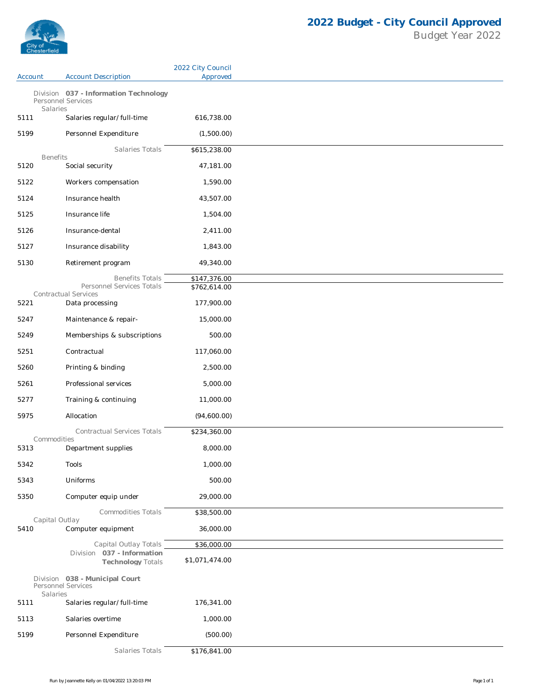

|                  |                                                             | 2022 City Council |
|------------------|-------------------------------------------------------------|-------------------|
| Account          | <b>Account Description</b>                                  | Approved          |
|                  | Division 037 - Information Technology<br>Personnel Services |                   |
| Salaries<br>5111 | Salaries regular/full-time                                  | 616,738.00        |
| 5199             | Personnel Expenditure                                       | (1,500.00)        |
|                  | Salaries Totals                                             | \$615,238.00      |
| <b>Benefits</b>  |                                                             |                   |
| 5120             | Social security                                             | 47,181.00         |
| 5122             | Workers compensation                                        | 1,590.00          |
| 5124             | Insurance health                                            | 43,507.00         |
| 5125             | Insurance life                                              | 1,504.00          |
| 5126             | Insurance-dental                                            | 2,411.00          |
| 5127             | Insurance disability                                        | 1,843.00          |
| 5130             | Retirement program                                          | 49,340.00         |
|                  | <b>Benefits Totals</b>                                      | \$147,376.00      |
|                  | Personnel Services Totals                                   | \$762,614.00      |
| 5221             | Contractual Services<br>Data processing                     | 177,900.00        |
| 5247             | Maintenance & repair-                                       | 15,000.00         |
| 5249             | Memberships & subscriptions                                 | 500.00            |
| 5251             | Contractual                                                 | 117,060.00        |
|                  |                                                             |                   |
| 5260             | Printing & binding                                          | 2,500.00          |
| 5261             | Professional services                                       | 5,000.00          |
| 5277             | Training & continuing                                       | 11,000.00         |
| 5975             | Allocation                                                  | (94,600.00)       |
| Commodities      | <b>Contractual Services Totals</b>                          | \$234,360.00      |
| 5313             | Department supplies                                         | 8,000.00          |
| 5342             | Tools                                                       | 1,000.00          |
| 5343             | Uniforms                                                    | 500.00            |
| 5350             | Computer equip under                                        | 29,000.00         |
|                  | <b>Commodities Totals</b>                                   | \$38,500.00       |
| Capital Outlay   |                                                             |                   |
| 5410             | Computer equipment                                          | 36,000.00         |
|                  | Capital Outlay Totals<br>Division 037 - Information         | \$36,000.00       |
|                  | <b>Technology Totals</b>                                    | \$1,071,474.00    |
| Salaries         | Division 038 - Municipal Court<br>Personnel Services        |                   |
| 5111             | Salaries regular/full-time                                  | 176,341.00        |
| 5113             | Salaries overtime                                           | 1,000.00          |
| 5199             | Personnel Expenditure                                       | (500.00)          |
|                  | Salaries Totals                                             | \$176,841.00      |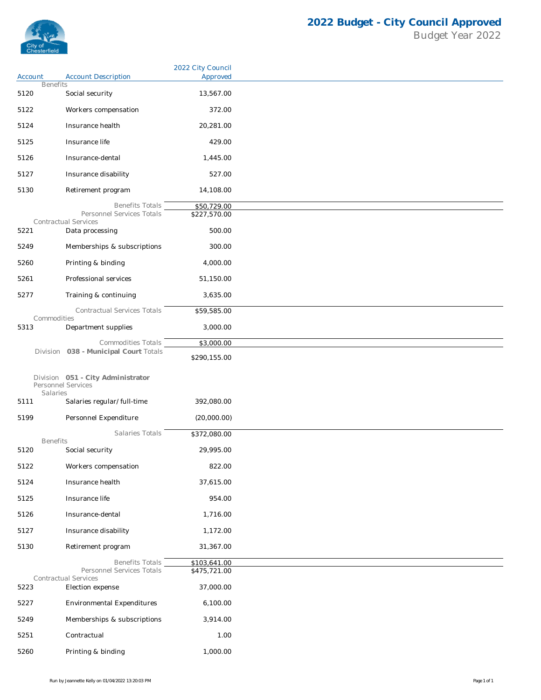

|                            |                                                             | 2022 City Council |
|----------------------------|-------------------------------------------------------------|-------------------|
| Account<br><b>Benefits</b> | <b>Account Description</b>                                  | Approved          |
| 5120                       | Social security                                             | 13,567.00         |
| 5122                       | Workers compensation                                        | 372.00            |
| 5124                       | Insurance health                                            | 20,281.00         |
| 5125                       | Insurance life                                              | 429.00            |
| 5126                       | Insurance-dental                                            | 1,445.00          |
| 5127                       | Insurance disability                                        | 527.00            |
| 5130                       | Retirement program                                          | 14,108.00         |
|                            | <b>Benefits Totals</b>                                      | \$50,729.00       |
|                            | Personnel Services Totals                                   | \$227,570.00      |
| 5221                       | <b>Contractual Services</b><br>Data processing              | 500.00            |
| 5249                       | Memberships & subscriptions                                 | 300.00            |
| 5260                       | Printing & binding                                          | 4,000.00          |
| 5261                       | Professional services                                       | 51,150.00         |
| 5277                       | Training & continuing                                       | 3,635.00          |
|                            | Contractual Services Totals                                 | \$59,585.00       |
| Commodities                |                                                             |                   |
| 5313                       | Department supplies                                         | 3,000.00          |
|                            | Commodities Totals<br>Division 038 - Municipal Court Totals | \$3,000.00        |
|                            |                                                             | \$290,155.00      |
| Salaries                   | Division 051 - City Administrator<br>Personnel Services     |                   |
| 5111                       | Salaries regular/full-time                                  | 392,080.00        |
| 5199                       | Personnel Expenditure                                       | (20,000.00)       |
|                            | Salaries Totals                                             | \$372,080.00      |
| <b>Benefits</b><br>5120    | Social security                                             | 29,995.00         |
| 5122                       | Workers compensation                                        | 822.00            |
| 5124                       | Insurance health                                            | 37,615.00         |
| 5125                       | Insurance life                                              | 954.00            |
| 5126                       | Insurance-dental                                            | 1,716.00          |
| 5127                       | Insurance disability                                        | 1,172.00          |
| 5130                       | Retirement program                                          | 31,367.00         |
|                            | <b>Benefits Totals</b>                                      | \$103,641.00      |
|                            | Personnel Services Totals                                   | \$475,721.00      |
| 5223                       | Contractual Services<br>Election expense                    | 37,000.00         |
| 5227                       | Environmental Expenditures                                  | 6,100.00          |
| 5249                       | Memberships & subscriptions                                 | 3,914.00          |
| 5251                       | Contractual                                                 | 1.00              |
| 5260                       | Printing & binding                                          | 1,000.00          |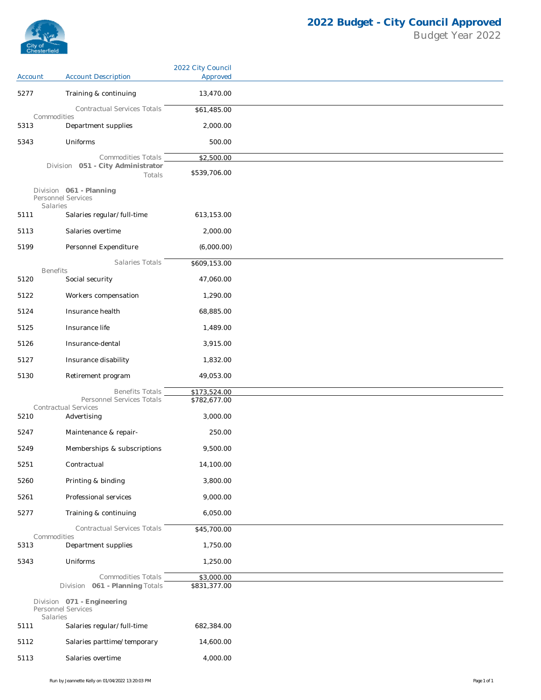

|         |                                                           | 2022 City Council          |
|---------|-----------------------------------------------------------|----------------------------|
| Account | <b>Account Description</b>                                | Approved                   |
| 5277    | Training & continuing                                     | 13,470.00                  |
|         | Contractual Services Totals<br>Commodities                | \$61,485.00                |
| 5313    | Department supplies                                       | 2,000.00                   |
| 5343    | Uniforms                                                  | 500.00                     |
|         | Commodities Totals                                        | \$2,500.00                 |
|         | Division 051 - City Administrator<br>Totals               | \$539,706.00               |
|         | Division 061 - Planning<br>Personnel Services<br>Salaries |                            |
| 5111    | Salaries regular/full-time                                | 613,153.00                 |
| 5113    | Salaries overtime                                         | 2,000.00                   |
| 5199    | Personnel Expenditure                                     | (6,000.00)                 |
|         | Salaries Totals                                           | \$609,153.00               |
| 5120    | <b>Benefits</b><br>Social security                        | 47,060.00                  |
| 5122    | Workers compensation                                      | 1,290.00                   |
| 5124    | Insurance health                                          | 68,885.00                  |
| 5125    | Insurance life                                            | 1,489.00                   |
|         |                                                           |                            |
| 5126    | Insurance-dental                                          | 3,915.00                   |
| 5127    | Insurance disability                                      | 1,832.00                   |
| 5130    | Retirement program                                        | 49,053.00                  |
|         | <b>Benefits Totals</b>                                    | \$173,524.00               |
|         | Personnel Services Totals<br>Contractual Services         | \$782,677.00               |
| 5210    | Advertising                                               | 3,000.00                   |
| 5247    | Maintenance & repair-                                     | 250.00                     |
| 5249    | Memberships & subscriptions                               | 9,500.00                   |
| 5251    | Contractual                                               | 14,100.00                  |
| 5260    | Printing & binding                                        | 3,800.00                   |
| 5261    | Professional services                                     | 9,000.00                   |
| 5277    | Training & continuing                                     | 6,050.00                   |
|         | Contractual Services Totals                               | \$45,700.00                |
| 5313    | Commodities<br>Department supplies                        | 1,750.00                   |
| 5343    | Uniforms                                                  | 1,250.00                   |
|         |                                                           |                            |
|         | Commodities Totals<br>Division 061 - Planning Totals      | \$3,000.00<br>\$831,377.00 |
|         | Division 071 - Engineering<br>Personnel Services          |                            |
| 5111    | Salaries<br>Salaries regular/full-time                    | 682,384.00                 |
| 5112    | Salaries parttime/temporary                               | 14,600.00                  |
| 5113    | Salaries overtime                                         | 4,000.00                   |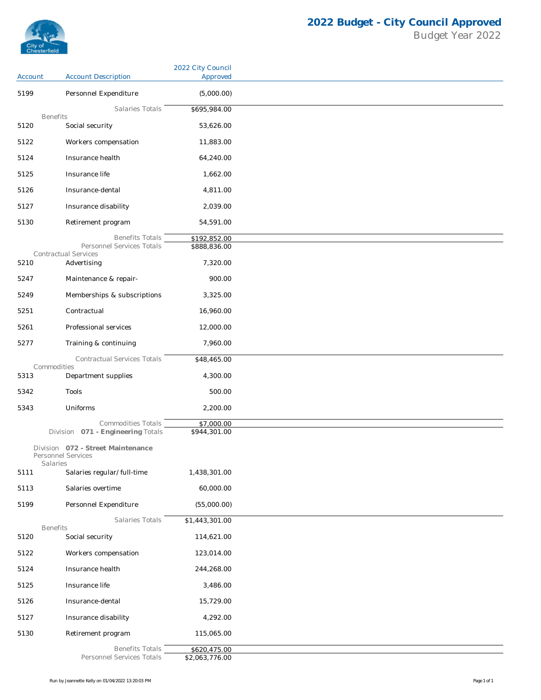

|         |                                                         | 2022 City Council            |
|---------|---------------------------------------------------------|------------------------------|
| Account | <b>Account Description</b>                              | Approved                     |
| 5199    | Personnel Expenditure                                   | (5,000.00)                   |
|         | Salaries Totals<br><b>Benefits</b>                      | \$695,984.00                 |
| 5120    | Social security                                         | 53,626.00                    |
| 5122    | Workers compensation                                    | 11,883.00                    |
| 5124    | Insurance health                                        | 64,240.00                    |
| 5125    | Insurance life                                          | 1,662.00                     |
| 5126    | Insurance-dental                                        | 4,811.00                     |
| 5127    | Insurance disability                                    | 2,039.00                     |
| 5130    | Retirement program                                      | 54,591.00                    |
|         |                                                         |                              |
|         | <b>Benefits Totals</b><br>Personnel Services Totals     | \$192,852.00<br>\$888,836.00 |
|         | Contractual Services                                    |                              |
| 5210    | Advertising                                             | 7,320.00                     |
| 5247    | Maintenance & repair-                                   | 900.00                       |
| 5249    | Memberships & subscriptions                             | 3,325.00                     |
| 5251    | Contractual                                             | 16,960.00                    |
| 5261    | Professional services                                   | 12,000.00                    |
| 5277    | Training & continuing                                   | 7,960.00                     |
|         | Contractual Services Totals                             | \$48,465.00                  |
| 5313    | Commodities<br>Department supplies                      | 4,300.00                     |
| 5342    | Tools                                                   | 500.00                       |
| 5343    | Uniforms                                                | 2,200.00                     |
|         |                                                         |                              |
|         | Commodities Totals<br>Division 071 - Engineering Totals | \$7,000.00<br>\$944,301.00   |
|         | Division 072 - Street Maintenance<br>Personnel Services |                              |
| 5111    | Salaries<br>Salaries regular/full-time                  | 1,438,301.00                 |
| 5113    | Salaries overtime                                       | 60,000.00                    |
| 5199    | Personnel Expenditure                                   | (55,000.00)                  |
|         | Salaries Totals                                         | \$1,443,301.00               |
|         | <b>Benefits</b>                                         |                              |
| 5120    | Social security                                         | 114,621.00                   |
| 5122    | Workers compensation                                    | 123,014.00                   |
| 5124    | Insurance health                                        | 244,268.00                   |
| 5125    | Insurance life                                          | 3,486.00                     |
| 5126    | Insurance-dental                                        | 15,729.00                    |
| 5127    | Insurance disability                                    | 4,292.00                     |
| 5130    | Retirement program                                      | 115,065.00                   |
|         | <b>Benefits Totals</b>                                  | \$620,475.00                 |
|         | Personnel Services Totals                               | \$2,063,776.00               |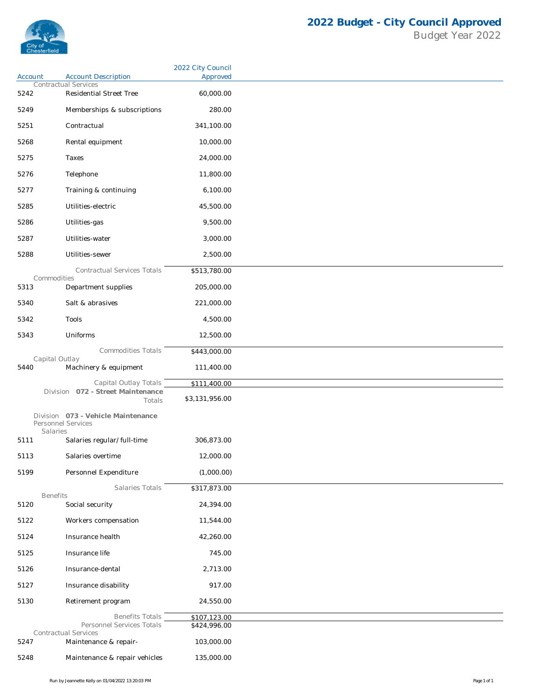

|         |                                                                      | 2022 City Council            |
|---------|----------------------------------------------------------------------|------------------------------|
| Account | <b>Account Description</b><br><b>Contractual Services</b>            | Approved                     |
| 5242    | Residential Street Tree                                              | 60,000.00                    |
| 5249    | Memberships & subscriptions                                          | 280.00                       |
| 5251    | Contractual                                                          | 341,100.00                   |
| 5268    | Rental equipment                                                     | 10,000.00                    |
| 5275    | Taxes                                                                | 24,000.00                    |
| 5276    | Telephone                                                            | 11,800.00                    |
| 5277    | Training & continuing                                                | 6,100.00                     |
| 5285    | Utilities-electric                                                   | 45,500.00                    |
| 5286    | Utilities-gas                                                        | 9,500.00                     |
|         | Utilities-water                                                      | 3,000.00                     |
| 5287    |                                                                      |                              |
| 5288    | Utilities-sewer                                                      | 2,500.00                     |
|         | Contractual Services Totals<br>Commodities                           | \$513,780.00                 |
| 5313    | Department supplies                                                  | 205,000.00                   |
| 5340    | Salt & abrasives                                                     | 221,000.00                   |
| 5342    | Tools                                                                | 4,500.00                     |
| 5343    | Uniforms                                                             | 12,500.00                    |
|         | Commodities Totals                                                   | \$443,000.00                 |
| 5440    | Capital Outlay<br>Machinery & equipment                              | 111,400.00                   |
|         |                                                                      |                              |
|         | Capital Outlay Totals<br>Division 072 - Street Maintenance           | \$111,400.00                 |
|         | Totals                                                               | \$3,131,956.00               |
|         | Division 073 - Vehicle Maintenance<br>Personnel Services<br>Salaries |                              |
| 5111    | Salaries regular/full-time                                           | 306,873.00                   |
| 5113    | Salaries overtime                                                    | 12,000.00                    |
| 5199    | Personnel Expenditure                                                | (1,000.00)                   |
|         | Salaries Totals                                                      | \$317,873.00                 |
| 5120    | <b>Benefits</b><br>Social security                                   | 24,394.00                    |
| 5122    | Workers compensation                                                 | 11,544.00                    |
| 5124    | Insurance health                                                     | 42,260.00                    |
| 5125    | Insurance life                                                       | 745.00                       |
| 5126    | Insurance-dental                                                     | 2,713.00                     |
|         |                                                                      |                              |
| 5127    | Insurance disability                                                 | 917.00                       |
| 5130    | Retirement program                                                   | 24,550.00                    |
|         | <b>Benefits Totals</b><br>Personnel Services Totals                  | \$107,123.00<br>\$424,996.00 |
|         | Contractual Services                                                 |                              |
| 5247    | Maintenance & repair-                                                | 103,000.00                   |
| 5248    | Maintenance & repair vehicles                                        | 135,000.00                   |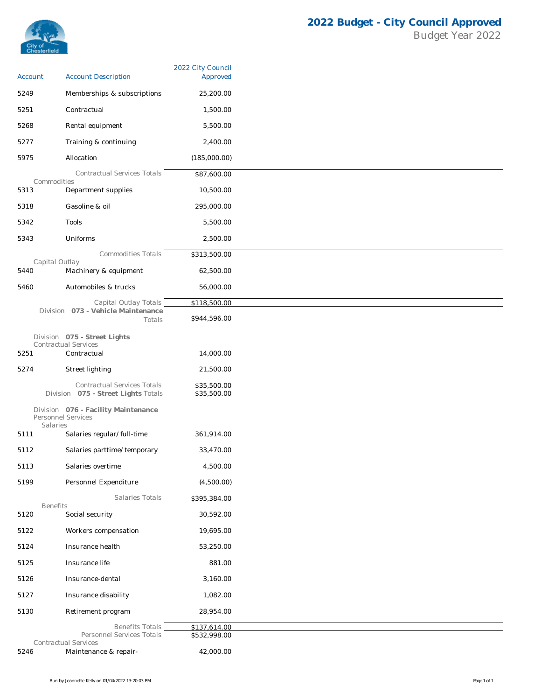

|         |                                                             | 2022 City Council |
|---------|-------------------------------------------------------------|-------------------|
| Account | <b>Account Description</b>                                  | Approved          |
| 5249    | Memberships & subscriptions                                 | 25,200.00         |
| 5251    | Contractual                                                 | 1,500.00          |
| 5268    | Rental equipment                                            | 5,500.00          |
| 5277    | Training & continuing                                       | 2,400.00          |
| 5975    | Allocation                                                  | (185,000.00)      |
|         | <b>Contractual Services Totals</b>                          | \$87,600.00       |
| 5313    | Commodities<br>Department supplies                          | 10,500.00         |
| 5318    | Gasoline & oil                                              | 295,000.00        |
| 5342    | Tools                                                       | 5,500.00          |
| 5343    | Uniforms                                                    | 2,500.00          |
|         | Commodities Totals                                          | \$313,500.00      |
| 5440    | Capital Outlay<br>Machinery & equipment                     | 62,500.00         |
|         |                                                             |                   |
| 5460    | Automobiles & trucks                                        | 56,000.00         |
|         | Capital Outlay Totals<br>Division 073 - Vehicle Maintenance | \$118,500.00      |
|         | Totals                                                      | \$944,596.00      |
|         | Division 075 - Street Lights<br><b>Contractual Services</b> |                   |
| 5251    | Contractual                                                 | 14,000.00         |
| 5274    | Street lighting                                             | 21,500.00         |
|         | Contractual Services Totals                                 | \$35,500.00       |
|         | Division 075 - Street Lights Totals                         | \$35,500.00       |
|         | Division 076 - Facility Maintenance<br>Personnel Services   |                   |
| 5111    | Salaries<br>Salaries regular/full-time                      | 361,914.00        |
| 5112    | Salaries parttime/temporary                                 | 33,470.00         |
| 5113    | Salaries overtime                                           | 4,500.00          |
|         |                                                             |                   |
| 5199    | Personnel Expenditure                                       | (4,500.00)        |
|         | Salaries Totals<br><b>Benefits</b>                          | \$395,384.00      |
| 5120    | Social security                                             | 30,592.00         |
| 5122    | Workers compensation                                        | 19,695.00         |
| 5124    | Insurance health                                            | 53,250.00         |
| 5125    | Insurance life                                              | 881.00            |
| 5126    | Insurance-dental                                            | 3,160.00          |
| 5127    | Insurance disability                                        | 1,082.00          |
| 5130    | Retirement program                                          | 28,954.00         |
|         | <b>Benefits Totals</b>                                      | \$137,614.00      |
|         | Personnel Services Totals<br>Contractual Services           | \$532,998.00      |
| 5246    | Maintenance & repair-                                       | 42,000.00         |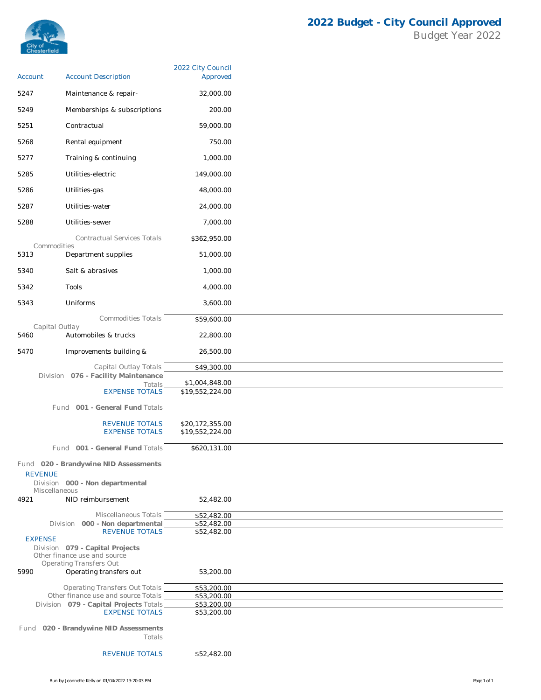

| Account        | <b>Account Description</b>                                      | 2022 City Council<br>Approved      |
|----------------|-----------------------------------------------------------------|------------------------------------|
| 5247           | Maintenance & repair-                                           | 32,000.00                          |
| 5249           | Memberships & subscriptions                                     | 200.00                             |
| 5251           | Contractual                                                     | 59,000.00                          |
|                |                                                                 | 750.00                             |
| 5268           | Rental equipment                                                |                                    |
| 5277           | Training & continuing                                           | 1,000.00                           |
| 5285           | Utilities-electric                                              | 149,000.00                         |
| 5286           | Utilities-gas                                                   | 48,000.00                          |
| 5287           | Utilities-water                                                 | 24,000.00                          |
| 5288           | Utilities-sewer                                                 | 7,000.00                           |
|                | Contractual Services Totals<br>Commodities                      | \$362,950.00                       |
| 5313           | Department supplies                                             | 51,000.00                          |
| 5340           | Salt & abrasives                                                | 1,000.00                           |
| 5342           | Tools                                                           | 4,000.00                           |
| 5343           | Uniforms                                                        | 3,600.00                           |
|                | <b>Commodities Totals</b>                                       | \$59,600.00                        |
| 5460           | Capital Outlay<br>Automobiles & trucks                          | 22,800.00                          |
| 5470           | Improvements building &                                         | 26,500.00                          |
|                | Capital Outlay Totals                                           | \$49,300.00                        |
|                | Division 076 - Facility Maintenance<br>Totals.                  | \$1,004,848.00                     |
|                | <b>EXPENSE TOTALS</b>                                           | \$19,552,224.00                    |
|                | Fund 001 - General Fund Totals                                  |                                    |
|                |                                                                 |                                    |
|                | <b>REVENUE TOTALS</b><br><b>EXPENSE TOTALS</b>                  | \$20,172,355.00<br>\$19,552,224.00 |
|                | Fund 001 - General Fund Totals                                  | \$620,131.00                       |
|                | Fund 020 - Brandywine NID Assessments                           |                                    |
| <b>REVENUE</b> | Division 000 - Non departmental                                 |                                    |
|                | Miscellaneous                                                   |                                    |
| 4921           | NID reimbursement                                               | 52,482.00                          |
|                | Miscellaneous Totals<br>Division 000 - Non departmental         | \$52,482.00<br>\$52,482.00         |
| <b>EXPENSE</b> | <b>REVENUE TOTALS</b>                                           | \$52,482.00                        |
|                | Division 079 - Capital Projects<br>Other finance use and source |                                    |
| 5990           | <b>Operating Transfers Out</b><br>Operating transfers out       | 53,200.00                          |
|                | <b>Operating Transfers Out Totals</b>                           | \$53,200.00                        |
|                | Other finance use and source Totals                             | \$53,200.00<br>\$53,200.00         |
|                | Division 079 - Capital Projects Totals<br><b>EXPENSE TOTALS</b> | \$53,200.00                        |
|                | Fund 020 - Brandywine NID Assessments                           |                                    |
|                | Totals<br><b>REVENUE TOTALS</b>                                 | \$52,482.00                        |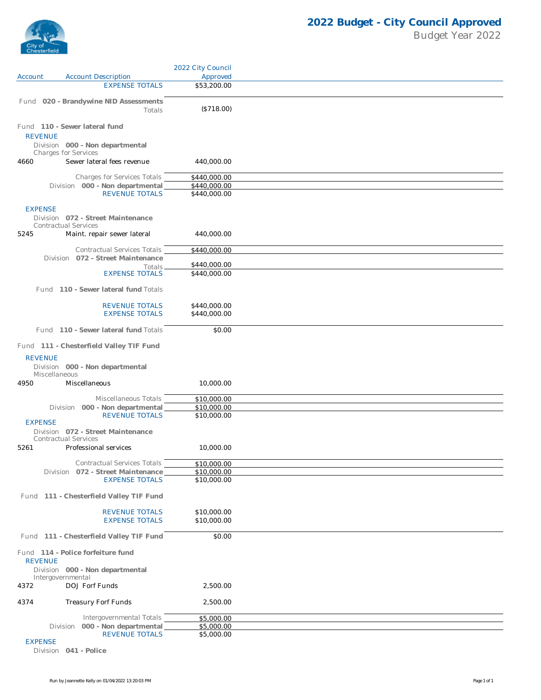

|                |                                                                  | 2022 City Council            |  |
|----------------|------------------------------------------------------------------|------------------------------|--|
| Account        | <b>Account Description</b>                                       | Approved                     |  |
|                | <b>EXPENSE TOTALS</b>                                            | \$53,200.00                  |  |
|                | Fund 020 - Brandywine NID Assessments<br>Totals                  | (\$718.00)                   |  |
| <b>REVENUE</b> | Fund 110 - Sewer lateral fund                                    |                              |  |
|                | Division 000 - Non departmental<br><b>Charges for Services</b>   |                              |  |
| 4660           | Sewer lateral fees revenue                                       | 440,000.00                   |  |
|                | <b>Charges for Services Totals</b>                               | \$440,000.00                 |  |
|                | Division 000 - Non departmental<br><b>REVENUE TOTALS</b>         | \$440,000.00<br>\$440,000.00 |  |
| <b>EXPENSE</b> | Division 072 - Street Maintenance                                |                              |  |
| 5245           | Contractual Services<br>Maint. repair sewer lateral              | 440,000.00                   |  |
|                | Contractual Services Totals                                      | \$440,000.00                 |  |
|                | Division 072 - Street Maintenance                                |                              |  |
|                | Totals.<br><b>EXPENSE TOTALS</b>                                 | \$440,000.00<br>\$440,000.00 |  |
|                | Fund 110 - Sewer lateral fund Totals                             |                              |  |
|                |                                                                  |                              |  |
|                | <b>REVENUE TOTALS</b><br><b>EXPENSE TOTALS</b>                   | \$440,000.00<br>\$440,000.00 |  |
|                | Fund 110 - Sewer lateral fund Totals                             | \$0.00                       |  |
|                | Fund 111 - Chesterfield Valley TIF Fund                          |                              |  |
| <b>REVENUE</b> | Division 000 - Non departmental<br>Miscellaneous                 |                              |  |
| 4950           | Miscellaneous                                                    | 10,000.00                    |  |
|                | Miscellaneous Totals                                             | \$10,000.00                  |  |
|                | Division 000 - Non departmental                                  | \$10,000.00                  |  |
| <b>EXPENSE</b> | <b>REVENUE TOTALS</b>                                            | \$10,000.00                  |  |
|                | Division 072 - Street Maintenance<br><b>Contractual Services</b> |                              |  |
| 5261           | Professional services                                            | 10,000.00                    |  |
|                | Contractual Services Totals                                      | \$10,000.00                  |  |
|                | Division 072 - Street Maintenance                                | \$10,000.00                  |  |
|                | <b>EXPENSE TOTALS</b>                                            | \$10,000.00                  |  |
|                | Fund 111 - Chesterfield Valley TIF Fund                          |                              |  |
|                | <b>REVENUE TOTALS</b>                                            | \$10,000.00                  |  |
|                | <b>EXPENSE TOTALS</b>                                            | \$10,000.00                  |  |
|                | Fund 111 - Chesterfield Valley TIF Fund                          | \$0.00                       |  |
| <b>REVENUE</b> | Fund 114 - Police forfeiture fund                                |                              |  |
|                | Division 000 - Non departmental<br>Intergovernmental             |                              |  |
| 4372           | DOJ Forf Funds                                                   | 2,500.00                     |  |
| 4374           | Treasury Forf Funds                                              | 2,500.00                     |  |
|                | Intergovernmental Totals                                         | \$5,000.00                   |  |
|                | Division 000 - Non departmental                                  | \$5,000.00                   |  |
|                | <b>REVENUE TOTALS</b>                                            | \$5,000.00                   |  |

EXPENSE

Division **041 - Police**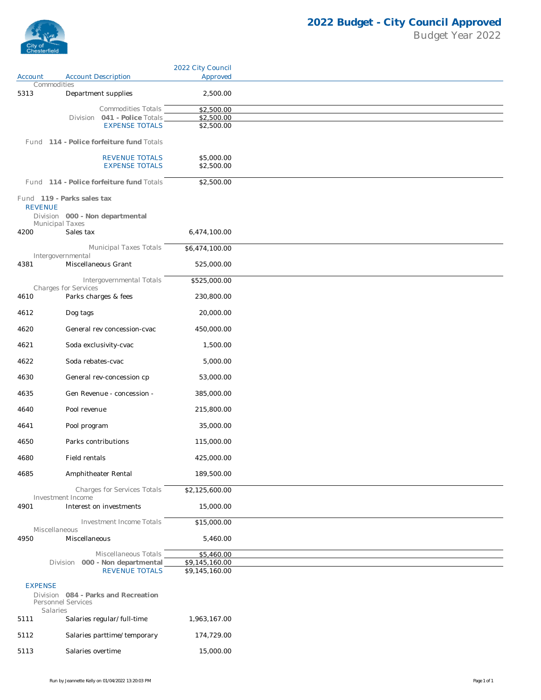

|                |                                                          | 2022 City Council                |
|----------------|----------------------------------------------------------|----------------------------------|
| Account        | <b>Account Description</b><br>Commodities                | Approved                         |
| 5313           | Department supplies                                      | 2,500.00                         |
|                | Commodities Totals                                       | \$2,500.00                       |
|                | Division 041 - Police Totals                             | \$2,500.00                       |
|                | <b>EXPENSE TOTALS</b>                                    | \$2,500.00                       |
|                | Fund 114 - Police forfeiture fund Totals                 |                                  |
|                | <b>REVENUE TOTALS</b>                                    | \$5,000.00                       |
|                | <b>EXPENSE TOTALS</b>                                    | \$2,500.00                       |
|                | Fund 114 - Police forfeiture fund Totals                 | \$2,500.00                       |
|                | Fund 119 - Parks sales tax                               |                                  |
| <b>REVENUE</b> |                                                          |                                  |
|                | Division 000 - Non departmental                          |                                  |
| 4200           | <b>Municipal Taxes</b><br>Sales tax                      | 6,474,100.00                     |
|                |                                                          |                                  |
|                | <b>Municipal Taxes Totals</b><br>Intergovernmental       | \$6,474,100.00                   |
| 4381           | Miscellaneous Grant                                      | 525,000.00                       |
|                | Intergovernmental Totals                                 | \$525,000.00                     |
|                | Charges for Services                                     |                                  |
| 4610           | Parks charges & fees                                     | 230,800.00                       |
| 4612           | Dog tags                                                 | 20,000.00                        |
| 4620           | General rev concession-cvac                              | 450,000.00                       |
| 4621           | Soda exclusivity-cvac                                    | 1,500.00                         |
| 4622           | Soda rebates-cvac                                        | 5,000.00                         |
| 4630           | General rev-concession cp                                | 53,000.00                        |
| 4635           | Gen Revenue - concession -                               | 385,000.00                       |
| 4640           | Pool revenue                                             | 215,800.00                       |
| 4641           | Pool program                                             | 35,000.00                        |
| 4650           | Parks contributions                                      | 115,000.00                       |
| 4680           | Field rentals                                            | 425,000.00                       |
| 4685           | Amphitheater Rental                                      | 189,500.00                       |
|                | Charges for Services Totals                              | \$2,125,600.00                   |
|                | Investment Income<br>Interest on investments             |                                  |
| 4901           |                                                          | 15,000.00                        |
|                | <b>Investment Income Totals</b><br>Miscellaneous         | \$15,000.00                      |
| 4950           | Miscellaneous                                            | 5,460.00                         |
|                | Miscellaneous Totals                                     | \$5,460.00                       |
|                | Division 000 - Non departmental<br><b>REVENUE TOTALS</b> | \$9,145,160.00<br>\$9,145,160.00 |
|                |                                                          |                                  |
| <b>EXPENSE</b> | Division 084 - Parks and Recreation                      |                                  |
|                | Personnel Services                                       |                                  |
| 5111           | Salaries<br>Salaries regular/full-time                   | 1,963,167.00                     |
|                |                                                          |                                  |
| 5112           | Salaries parttime/temporary                              | 174,729.00                       |
| 5113           | Salaries overtime                                        | 15,000.00                        |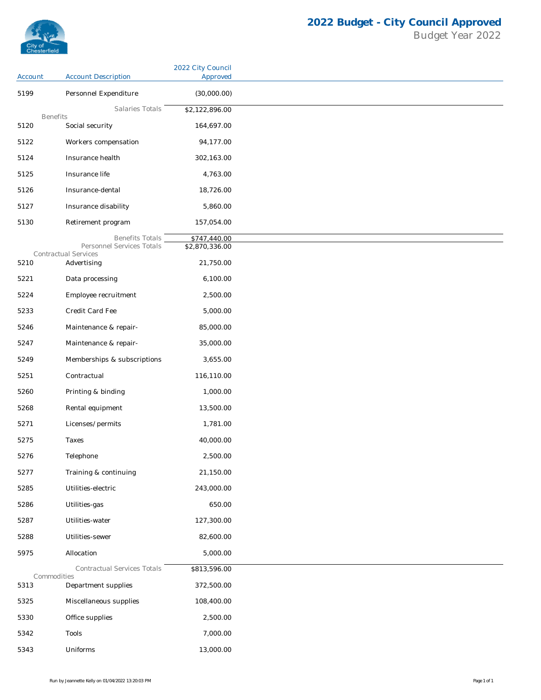

## **2022 Budget - City Council Approved** Budget Year 2022

|                 |                                                   | 2022 City Council |
|-----------------|---------------------------------------------------|-------------------|
| Account         | <b>Account Description</b>                        | Approved          |
| 5199            | Personnel Expenditure                             | (30,000.00)       |
| <b>Benefits</b> | Salaries Totals                                   | \$2,122,896.00    |
| 5120            | Social security                                   | 164,697.00        |
| 5122            | Workers compensation                              | 94,177.00         |
| 5124            | Insurance health                                  | 302,163.00        |
| 5125            | Insurance life                                    | 4,763.00          |
| 5126            | Insurance-dental                                  | 18,726.00         |
| 5127            | Insurance disability                              | 5,860.00          |
| 5130            | Retirement program                                | 157,054.00        |
|                 | <b>Benefits Totals</b>                            | \$747,440.00      |
|                 | Personnel Services Totals<br>Contractual Services | \$2,870,336.00    |
| 5210            | Advertising                                       | 21,750.00         |
| 5221            | Data processing                                   | 6,100.00          |
| 5224            | Employee recruitment                              | 2,500.00          |
| 5233            | Credit Card Fee                                   | 5,000.00          |
| 5246            | Maintenance & repair-                             | 85,000.00         |
| 5247            | Maintenance & repair-                             | 35,000.00         |
| 5249            | Memberships & subscriptions                       | 3,655.00          |
| 5251            | Contractual                                       | 116,110.00        |
| 5260            | Printing & binding                                | 1,000.00          |
| 5268            | Rental equipment                                  | 13,500.00         |
| 5271            | Licenses/permits                                  | 1,781.00          |
| 5275            | Taxes                                             | 40,000.00         |
| 5276            | Telephone                                         | 2,500.00          |
| 5277            | Training & continuing                             | 21,150.00         |
| 5285            | Utilities-electric                                | 243,000.00        |
| 5286            | Utilities-gas                                     | 650.00            |
| 5287            | Utilities-water                                   | 127,300.00        |
| 5288            | Utilities-sewer                                   | 82,600.00         |
| 5975            | Allocation                                        | 5,000.00          |
|                 | Contractual Services Totals                       |                   |
| Commodities     |                                                   | \$813,596.00      |
| 5313            | Department supplies                               | 372,500.00        |
| 5325            | Miscellaneous supplies                            | 108,400.00        |
| 5330            | Office supplies                                   | 2,500.00          |
| 5342            | Tools                                             | 7,000.00          |
| 5343            | Uniforms                                          | 13,000.00         |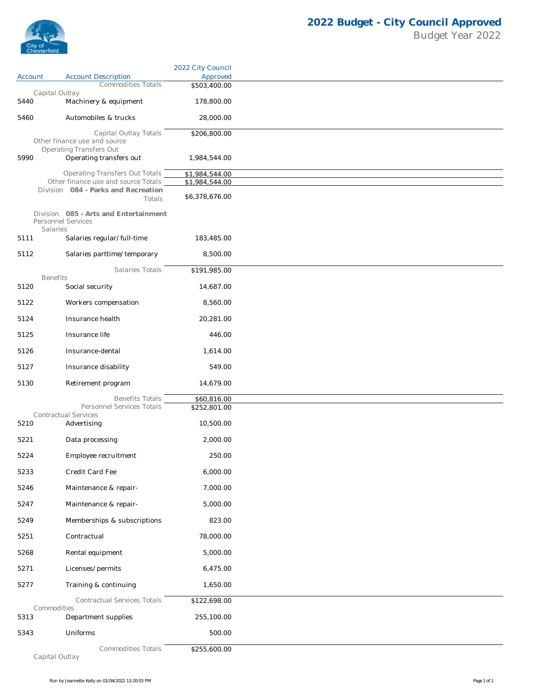

|         |                                                                              | 2022 City Council                |
|---------|------------------------------------------------------------------------------|----------------------------------|
| Account | <b>Account Description</b><br><b>Commodities Totals</b>                      | Approved<br>\$503,400.00         |
|         | Capital Outlay                                                               |                                  |
| 5440    | Machinery & equipment                                                        | 178,800.00                       |
| 5460    | Automobiles & trucks                                                         | 28,000.00                        |
|         | Capital Outlay Totals<br>Other finance use and source                        | \$206,800.00                     |
| 5990    | <b>Operating Transfers Out</b><br>Operating transfers out                    | 1,984,544.00                     |
|         |                                                                              |                                  |
|         | <b>Operating Transfers Out Totals</b><br>Other finance use and source Totals | \$1,984,544.00<br>\$1,984,544.00 |
|         | Division 084 - Parks and Recreation<br>Totals                                | \$6,378,676.00                   |
|         | Division 085 - Arts and Entertainment                                        |                                  |
|         | Personnel Services<br>Salaries                                               |                                  |
| 5111    | Salaries regular/full-time                                                   | 183,485.00                       |
| 5112    | Salaries parttime/temporary                                                  | 8,500.00                         |
|         | Salaries Totals                                                              | \$191,985.00                     |
| 5120    | <b>Benefits</b><br>Social security                                           | 14,687.00                        |
| 5122    | Workers compensation                                                         | 8,560.00                         |
| 5124    | Insurance health                                                             | 20,281.00                        |
| 5125    | Insurance life                                                               | 446.00                           |
| 5126    | Insurance-dental                                                             | 1,614.00                         |
|         |                                                                              |                                  |
| 5127    | Insurance disability                                                         | 549.00                           |
| 5130    | Retirement program                                                           | 14,679.00                        |
|         | <b>Benefits Totals</b><br>Personnel Services Totals                          | \$60,816.00<br>\$252,801.00      |
| 5210    | Contractual Services<br>Advertising                                          | 10,500.00                        |
| 5221    | Data processing                                                              | 2,000.00                         |
|         |                                                                              |                                  |
| 5224    | Employee recruitment                                                         | 250.00                           |
| 5233    | Credit Card Fee                                                              | 6,000.00                         |
| 5246    | Maintenance & repair-                                                        | 7,000.00                         |
| 5247    | Maintenance & repair-                                                        | 5,000.00                         |
| 5249    | Memberships & subscriptions                                                  | 823.00                           |
| 5251    | Contractual                                                                  | 78,000.00                        |
| 5268    | Rental equipment                                                             | 5,000.00                         |
| 5271    | Licenses/permits                                                             | 6,475.00                         |
| 5277    | Training & continuing                                                        | 1,650.00                         |
|         | <b>Contractual Services Totals</b>                                           | \$122,698.00                     |
|         | Commodities                                                                  |                                  |
| 5313    | Department supplies                                                          | 255,100.00                       |
| 5343    | Uniforms                                                                     | 500.00                           |
|         | Commodities Totals                                                           | \$255,600.00                     |

*Capital Outlay*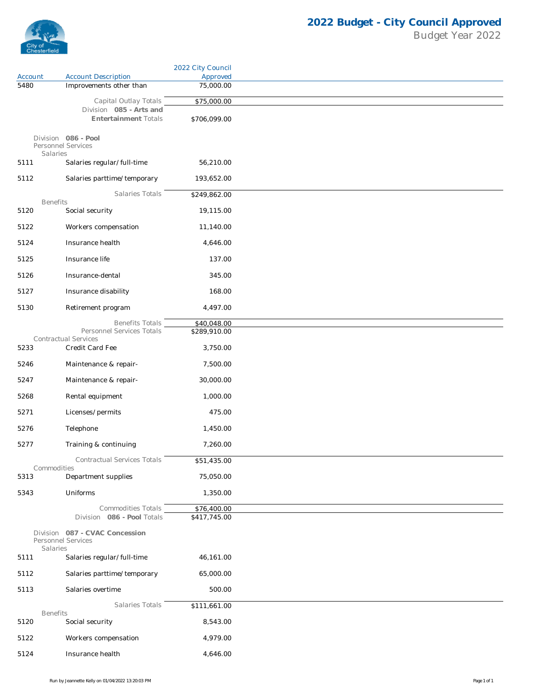

|         |                                                       | 2022 City Council           |
|---------|-------------------------------------------------------|-----------------------------|
| Account | <b>Account Description</b>                            | Approved                    |
| 5480    | Improvements other than                               | 75,000.00                   |
|         | Capital Outlay Totals                                 | \$75,000.00                 |
|         | Division 085 - Arts and                               |                             |
|         | <b>Entertainment Totals</b>                           | \$706,099.00                |
|         | Division 086 - Pool<br>Personnel Services<br>Salaries |                             |
| 5111    | Salaries regular/full-time                            | 56,210.00                   |
| 5112    | Salaries parttime/temporary                           | 193,652.00                  |
|         | Salaries Totals                                       | \$249,862.00                |
| 5120    | <b>Benefits</b><br>Social security                    | 19,115.00                   |
| 5122    | Workers compensation                                  | 11,140.00                   |
| 5124    | Insurance health                                      | 4,646.00                    |
| 5125    | Insurance life                                        | 137.00                      |
| 5126    | Insurance-dental                                      | 345.00                      |
| 5127    | Insurance disability                                  | 168.00                      |
| 5130    | Retirement program                                    | 4,497.00                    |
|         | <b>Benefits Totals</b>                                | \$40,048.00                 |
|         | Personnel Services Totals<br>Contractual Services     | \$289,910.00                |
| 5233    | Credit Card Fee                                       | 3,750.00                    |
| 5246    | Maintenance & repair-                                 | 7,500.00                    |
| 5247    | Maintenance & repair-                                 | 30,000.00                   |
| 5268    | Rental equipment                                      | 1,000.00                    |
| 5271    | Licenses/permits                                      | 475.00                      |
| 5276    | Telephone                                             | 1,450.00                    |
| 5277    | Training & continuing                                 | 7,260.00                    |
|         | <b>Contractual Services Totals</b>                    | \$51,435.00                 |
| 5313    | Commodities<br>Department supplies                    | 75,050.00                   |
|         |                                                       |                             |
| 5343    | Uniforms                                              | 1,350.00                    |
|         | Commodities Totals<br>Division 086 - Pool Totals      | \$76,400.00<br>\$417,745.00 |
|         | Division 087 - CVAC Concession<br>Personnel Services  |                             |
| 5111    | Salaries<br>Salaries regular/full-time                | 46,161.00                   |
| 5112    | Salaries parttime/temporary                           | 65,000.00                   |
| 5113    | Salaries overtime                                     | 500.00                      |
|         | Salaries Totals                                       | \$111,661.00                |
|         | <b>Benefits</b>                                       |                             |
| 5120    | Social security                                       | 8,543.00                    |
| 5122    | Workers compensation                                  | 4,979.00                    |
| 5124    | Insurance health                                      | 4,646.00                    |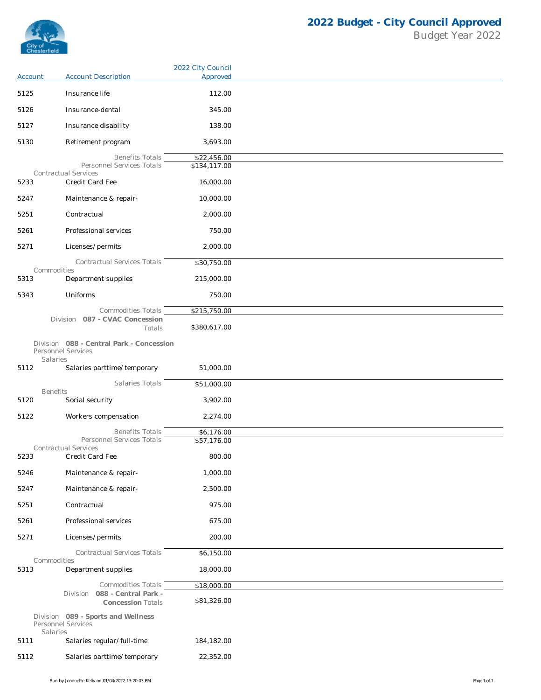

|         |                                                                            | 2022 City Council |
|---------|----------------------------------------------------------------------------|-------------------|
| Account | <b>Account Description</b>                                                 | Approved          |
| 5125    | Insurance life                                                             | 112.00            |
| 5126    | Insurance-dental                                                           | 345.00            |
| 5127    | Insurance disability                                                       | 138.00            |
| 5130    | Retirement program                                                         | 3,693.00          |
|         | <b>Benefits Totals</b>                                                     | \$22,456.00       |
|         | Personnel Services Totals<br><b>Contractual Services</b>                   | \$134,117.00      |
| 5233    | Credit Card Fee                                                            | 16,000.00         |
| 5247    | Maintenance & repair-                                                      | 10,000.00         |
| 5251    | Contractual                                                                | 2,000.00          |
| 5261    | Professional services                                                      | 750.00            |
| 5271    | Licenses/permits                                                           | 2,000.00          |
|         | Contractual Services Totals                                                | \$30,750.00       |
| 5313    | Commodities<br>Department supplies                                         | 215,000.00        |
| 5343    | Uniforms                                                                   | 750.00            |
|         | Commodities Totals                                                         | \$215,750.00      |
|         | Division 087 - CVAC Concession<br>Totals                                   | \$380,617.00      |
|         | Division 088 - Central Park - Concession<br>Personnel Services<br>Salaries |                   |
| 5112    | Salaries parttime/temporary                                                | 51,000.00         |
|         | Salaries Totals<br><b>Benefits</b>                                         | \$51,000.00       |
| 5120    | Social security                                                            | 3,902.00          |
| 5122    | Workers compensation                                                       | 2,274.00          |
|         | <b>Benefits Totals</b>                                                     | \$6,176.00        |
|         | Personnel Services Totals<br>Contractual Services                          | \$57,176.00       |
| 5233    | Credit Card Fee                                                            | 800.00            |
| 5246    | Maintenance & repair-                                                      | 1,000.00          |
| 5247    | Maintenance & repair-                                                      | 2,500.00          |
| 5251    | Contractual                                                                | 975.00            |
| 5261    | Professional services                                                      | 675.00            |
| 5271    | Licenses/permits                                                           | 200.00            |
|         | Contractual Services Totals                                                | \$6,150.00        |
| 5313    | Commodities<br>Department supplies                                         | 18,000.00         |
|         | Commodities Totals                                                         | \$18,000.00       |
|         | Division 088 - Central Park -<br><b>Concession Totals</b>                  | \$81,326.00       |
|         | Division 089 - Sports and Wellness<br>Personnel Services<br>Salaries       |                   |
| 5111    | Salaries regular/full-time                                                 | 184,182.00        |
| 5112    | Salaries parttime/temporary                                                | 22,352.00         |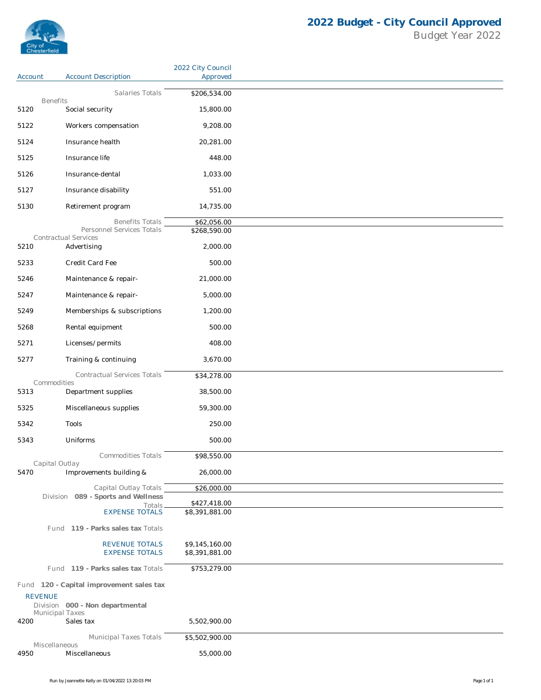

|                                |                                                | 2022 City Council                |
|--------------------------------|------------------------------------------------|----------------------------------|
| Account                        | <b>Account Description</b>                     | Approved                         |
| <b>Benefits</b>                | Salaries Totals                                | \$206,534.00                     |
| 5120                           | Social security                                | 15,800.00                        |
| 5122                           | Workers compensation                           | 9,208.00                         |
| 5124                           | Insurance health                               | 20,281.00                        |
| 5125                           | Insurance life                                 | 448.00                           |
| 5126                           | Insurance-dental                               | 1,033.00                         |
| 5127                           | Insurance disability                           | 551.00                           |
| 5130                           | Retirement program                             | 14,735.00                        |
|                                | <b>Benefits Totals</b>                         | \$62,056.00                      |
|                                | Personnel Services Totals                      | \$268,590.00                     |
| 5210                           | Contractual Services<br>Advertising            | 2,000.00                         |
| 5233                           | Credit Card Fee                                | 500.00                           |
| 5246                           | Maintenance & repair-                          | 21,000.00                        |
| 5247                           | Maintenance & repair-                          | 5,000.00                         |
| 5249                           | Memberships & subscriptions                    | 1,200.00                         |
| 5268                           | Rental equipment                               | 500.00                           |
| 5271                           | Licenses/permits                               | 408.00                           |
| 5277                           | Training & continuing                          | 3,670.00                         |
|                                | Contractual Services Totals                    | \$34,278.00                      |
| Commodities<br>5313            | Department supplies                            | 38,500.00                        |
| 5325                           | Miscellaneous supplies                         | 59,300.00                        |
| 5342                           | Tools                                          | 250.00                           |
| 5343                           | Uniforms                                       | 500.00                           |
|                                | <b>Commodities Totals</b>                      | \$98,550.00                      |
| Capital Outlay<br>5470         | Improvements building &                        | 26,000.00                        |
|                                | Capital Outlay Totals                          | \$26,000.00                      |
|                                | Division 089 - Sports and Wellness             | \$427,418.00                     |
|                                | Totals<br><b>EXPENSE TOTALS</b>                | \$8,391,881.00                   |
|                                | Fund 119 - Parks sales tax Totals              |                                  |
|                                | <b>REVENUE TOTALS</b><br><b>EXPENSE TOTALS</b> | \$9,145,160.00<br>\$8,391,881.00 |
|                                | Fund 119 - Parks sales tax Totals              | \$753,279.00                     |
|                                | Fund 120 - Capital improvement sales tax       |                                  |
| <b>REVENUE</b>                 | Division 000 - Non departmental                |                                  |
| <b>Municipal Taxes</b><br>4200 | Sales tax                                      | 5,502,900.00                     |
|                                | Municipal Taxes Totals                         | \$5,502,900.00                   |
| Miscellaneous<br>4950          | Miscellaneous                                  | 55,000.00                        |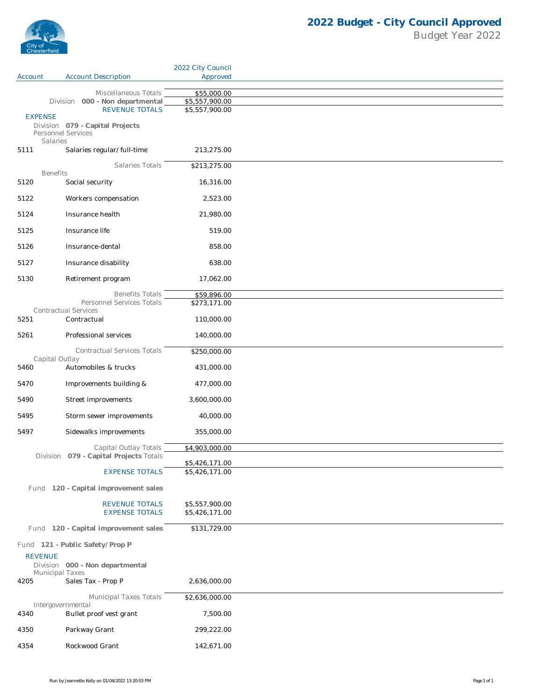

|                         |                                                       | 2022 City Council                |
|-------------------------|-------------------------------------------------------|----------------------------------|
| Account                 | <b>Account Description</b>                            | Approved                         |
|                         | Miscellaneous Totals                                  | \$55,000.00                      |
|                         | Division 000 - Non departmental                       | \$5,557,900.00                   |
| <b>EXPENSE</b>          | <b>REVENUE TOTALS</b>                                 | \$5,557,900.00                   |
|                         | Division 079 - Capital Projects<br>Personnel Services |                                  |
| Salaries<br>5111        | Salaries regular/full-time                            | 213,275.00                       |
|                         | Salaries Totals                                       | \$213,275.00                     |
| <b>Benefits</b><br>5120 | Social security                                       | 16,316.00                        |
| 5122                    | Workers compensation                                  | 2,523.00                         |
| 5124                    | Insurance health                                      | 21,980.00                        |
| 5125                    | Insurance life                                        | 519.00                           |
| 5126                    | Insurance-dental                                      | 858.00                           |
| 5127                    | Insurance disability                                  | 638.00                           |
| 5130                    | Retirement program                                    | 17,062.00                        |
|                         |                                                       |                                  |
|                         | <b>Benefits Totals</b><br>Personnel Services Totals   | \$59,896.00<br>\$273,171.00      |
| 5251                    | <b>Contractual Services</b><br>Contractual            | 110,000.00                       |
| 5261                    | Professional services                                 | 140,000.00                       |
|                         | Contractual Services Totals                           | \$250,000.00                     |
| Capital Outlay<br>5460  | Automobiles & trucks                                  | 431,000.00                       |
| 5470                    | Improvements building &                               | 477,000.00                       |
| 5490                    | Street improvements                                   | 3,600,000.00                     |
| 5495                    | Storm sewer improvements                              | 40,000.00                        |
| 5497                    | Sidewalks improvements                                | 355,000.00                       |
|                         | Capital Outlay Totals                                 | \$4,903,000.00                   |
|                         | Division 079 - Capital Projects Totals                | \$5,426,171.00                   |
|                         | <b>EXPENSE TOTALS</b>                                 | \$5,426,171.00                   |
|                         | Fund 120 - Capital improvement sales                  |                                  |
|                         | <b>REVENUE TOTALS</b><br><b>EXPENSE TOTALS</b>        | \$5,557,900.00<br>\$5,426,171.00 |
|                         | Fund 120 - Capital improvement sales                  | \$131,729.00                     |
|                         | Fund 121 - Public Safety/Prop P                       |                                  |
| <b>REVENUE</b>          |                                                       |                                  |
| <b>Municipal Taxes</b>  | Division 000 - Non departmental                       |                                  |
| 4205                    | Sales Tax - Prop P                                    | 2,636,000.00                     |
|                         | Municipal Taxes Totals                                | \$2,636,000.00                   |
| 4340                    | Intergovernmental<br>Bullet proof vest grant          | 7,500.00                         |
| 4350                    | Parkway Grant                                         | 299,222.00                       |
| 4354                    | Rockwood Grant                                        | 142,671.00                       |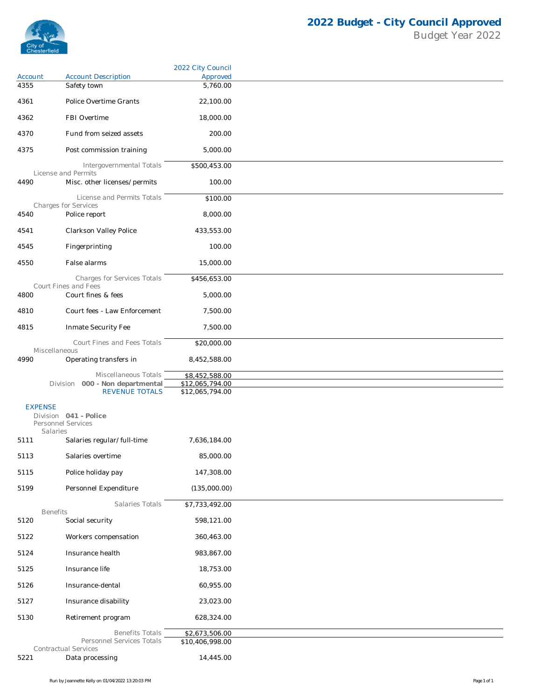

|                |                                                            | 2022 City Council                 |
|----------------|------------------------------------------------------------|-----------------------------------|
| Account        | <b>Account Description</b>                                 | Approved                          |
| 4355           | Safety town                                                | 5,760.00                          |
| 4361           | Police Overtime Grants                                     | 22,100.00                         |
| 4362           | FBI Overtime                                               | 18,000.00                         |
| 4370           | Fund from seized assets                                    | 200.00                            |
| 4375           | Post commission training                                   | 5,000.00                          |
|                | Intergovernmental Totals                                   | \$500,453.00                      |
| 4490           | License and Permits<br>Misc. other licenses/permits        | 100.00                            |
|                | License and Permits Totals                                 | \$100.00                          |
| 4540           | Charges for Services<br>Police report                      | 8,000.00                          |
|                |                                                            |                                   |
| 4541           | Clarkson Valley Police                                     | 433,553.00                        |
| 4545           | Fingerprinting                                             | 100.00                            |
| 4550           | False alarms                                               | 15,000.00                         |
|                | <b>Charges for Services Totals</b><br>Court Fines and Fees | \$456,653.00                      |
| 4800           | Court fines & fees                                         | 5,000.00                          |
| 4810           | Court fees - Law Enforcement                               | 7,500.00                          |
| 4815           | Inmate Security Fee                                        | 7,500.00                          |
|                | Court Fines and Fees Totals                                | \$20,000.00                       |
| 4990           | Miscellaneous<br>Operating transfers in                    | 8,452,588.00                      |
|                | Miscellaneous Totals                                       | \$8,452,588.00                    |
|                | Division 000 - Non departmental                            | \$12,065,794.00                   |
|                | <b>REVENUE TOTALS</b>                                      | \$12,065,794.00                   |
| <b>EXPENSE</b> | Division 041 - Police                                      |                                   |
|                | Personnel Services<br>Salaries                             |                                   |
| 5111           | Salaries regular/full-time                                 | 7,636,184.00                      |
| 5113           | Salaries overtime                                          | 85,000.00                         |
| 5115           | Police holiday pay                                         | 147,308.00                        |
| 5199           | Personnel Expenditure                                      | (135,000.00)                      |
|                | Salaries Totals                                            | \$7,733,492.00                    |
| 5120           | <b>Benefits</b><br>Social security                         | 598,121.00                        |
| 5122           | Workers compensation                                       | 360,463.00                        |
| 5124           | Insurance health                                           | 983,867.00                        |
| 5125           | Insurance life                                             | 18,753.00                         |
|                | Insurance-dental                                           | 60,955.00                         |
| 5126           |                                                            |                                   |
| 5127           | Insurance disability                                       | 23,023.00                         |
| 5130           | Retirement program                                         | 628,324.00                        |
|                | <b>Benefits Totals</b><br>Personnel Services Totals        | \$2,673,506.00<br>\$10,406,998.00 |
| 5221           | Contractual Services<br>Data processing                    | 14,445.00                         |
|                |                                                            |                                   |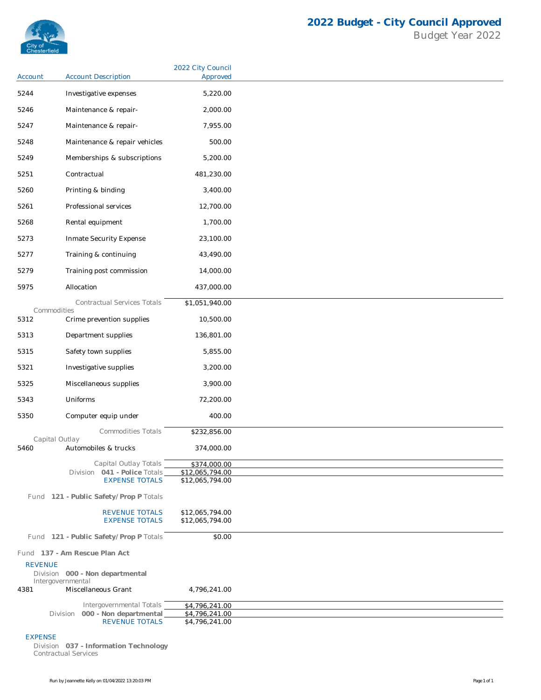

|                        |                                                          | 2022 City Council                  |
|------------------------|----------------------------------------------------------|------------------------------------|
| Account                | <b>Account Description</b>                               | Approved                           |
| 5244                   | Investigative expenses                                   | 5,220.00                           |
| 5246                   | Maintenance & repair-                                    | 2,000.00                           |
| 5247                   | Maintenance & repair-                                    | 7,955.00                           |
| 5248                   | Maintenance & repair vehicles                            | 500.00                             |
| 5249                   | Memberships & subscriptions                              | 5,200.00                           |
| 5251                   | Contractual                                              | 481,230.00                         |
| 5260                   | Printing & binding                                       | 3,400.00                           |
| 5261                   | Professional services                                    | 12,700.00                          |
|                        |                                                          |                                    |
| 5268                   | Rental equipment                                         | 1,700.00                           |
| 5273                   | Inmate Security Expense                                  | 23,100.00                          |
| 5277                   | Training & continuing                                    | 43,490.00                          |
| 5279                   | Training post commission                                 | 14,000.00                          |
| 5975                   | Allocation                                               | 437,000.00                         |
|                        | Contractual Services Totals                              | \$1,051,940.00                     |
| Commodities<br>5312    | Crime prevention supplies                                | 10,500.00                          |
| 5313                   | Department supplies                                      | 136,801.00                         |
| 5315                   | Safety town supplies                                     | 5,855.00                           |
| 5321                   | Investigative supplies                                   | 3,200.00                           |
| 5325                   | Miscellaneous supplies                                   | 3,900.00                           |
| 5343                   | Uniforms                                                 | 72,200.00                          |
| 5350                   | Computer equip under                                     | 400.00                             |
|                        | <b>Commodities Totals</b>                                | \$232,856.00                       |
| Capital Outlay<br>5460 | Automobiles & trucks                                     | 374,000.00                         |
|                        | Capital Outlay Totals                                    | \$374,000.00                       |
|                        | Division 041 - Police Totals                             | \$12,065,794.00                    |
|                        | <b>EXPENSE TOTALS</b>                                    | \$12,065,794.00                    |
|                        | Fund 121 - Public Safety/Prop P Totals                   |                                    |
|                        | <b>REVENUE TOTALS</b><br><b>EXPENSE TOTALS</b>           | \$12,065,794.00<br>\$12,065,794.00 |
|                        | Fund 121 - Public Safety/Prop P Totals                   | \$0.00                             |
|                        | Fund 137 - Am Rescue Plan Act                            |                                    |
| <b>REVENUE</b>         |                                                          |                                    |
|                        | Division 000 - Non departmental<br>Intergovernmental     |                                    |
| 4381                   | Miscellaneous Grant                                      | 4,796,241.00                       |
|                        | Intergovernmental Totals                                 | \$4,796,241.00                     |
|                        | Division 000 - Non departmental<br><b>REVENUE TOTALS</b> | \$4,796,241.00<br>\$4,796,241.00   |

## EXPENSE

Division **037 - Information Technology** *Contractual Services*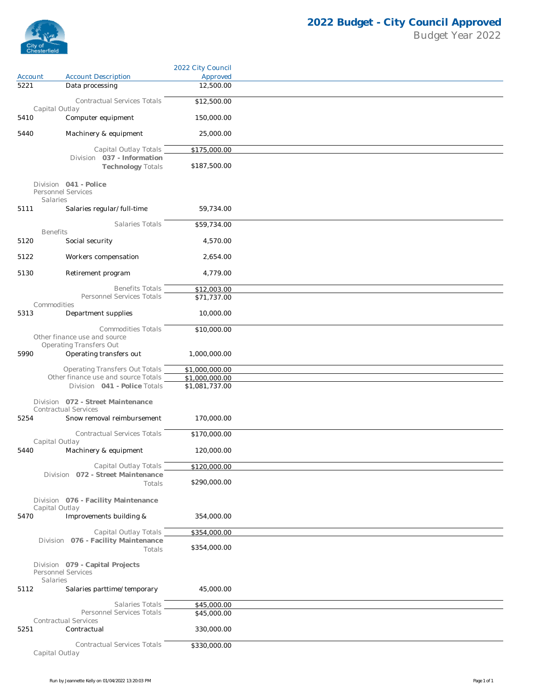

|         |                                                            | 2022 City Council |  |
|---------|------------------------------------------------------------|-------------------|--|
| Account | <b>Account Description</b>                                 | Approved          |  |
| 5221    | Data processing                                            | 12,500.00         |  |
|         | Contractual Services Totals                                | \$12,500.00       |  |
| 5410    | Capital Outlay<br>Computer equipment                       | 150,000.00        |  |
|         |                                                            |                   |  |
| 5440    | Machinery & equipment                                      | 25,000.00         |  |
|         | Capital Outlay Totals                                      | \$175,000.00      |  |
|         | Division 037 - Information<br><b>Technology Totals</b>     | \$187,500.00      |  |
|         | Division 041 - Police                                      |                   |  |
|         | Personnel Services                                         |                   |  |
| 5111    | Salaries<br>Salaries regular/full-time                     | 59,734.00         |  |
|         |                                                            |                   |  |
|         | Salaries Totals<br><b>Benefits</b>                         | \$59,734.00       |  |
| 5120    | Social security                                            | 4,570.00          |  |
| 5122    | Workers compensation                                       | 2,654.00          |  |
|         |                                                            |                   |  |
| 5130    | Retirement program                                         | 4,779.00          |  |
|         | <b>Benefits Totals</b>                                     | \$12,003.00       |  |
|         | Personnel Services Totals                                  | \$71,737.00       |  |
| 5313    | Commodities<br>Department supplies                         | 10,000.00         |  |
|         |                                                            |                   |  |
|         | <b>Commodities Totals</b><br>Other finance use and source  | \$10,000.00       |  |
|         | <b>Operating Transfers Out</b>                             |                   |  |
| 5990    | Operating transfers out                                    | 1,000,000.00      |  |
|         | <b>Operating Transfers Out Totals</b>                      | \$1,000,000.00    |  |
|         | Other finance use and source Totals                        | \$1,000,000.00    |  |
|         | Division 041 - Police Totals                               | \$1,081,737.00    |  |
|         | Division 072 - Street Maintenance                          |                   |  |
| 5254    | <b>Contractual Services</b><br>Snow removal reimbursement  | 170,000.00        |  |
|         |                                                            |                   |  |
|         | Contractual Services Totals<br>Capital Outlay              | \$170,000.00      |  |
| 5440    | Machinery & equipment                                      | 120,000.00        |  |
|         |                                                            |                   |  |
|         | Capital Outlay Totals<br>Division 072 - Street Maintenance | \$120,000.00      |  |
|         | Totals                                                     | \$290,000.00      |  |
|         | Division 076 - Facility Maintenance                        |                   |  |
|         | Capital Outlay                                             |                   |  |
| 5470    | Improvements building &                                    | 354,000.00        |  |
|         | Capital Outlay Totals                                      | \$354,000.00      |  |
|         | Division 076 - Facility Maintenance<br>Totals              | \$354,000.00      |  |
|         |                                                            |                   |  |
|         | Division 079 - Capital Projects<br>Personnel Services      |                   |  |
|         | Salaries                                                   |                   |  |
| 5112    | Salaries parttime/temporary                                | 45,000.00         |  |
|         | Salaries Totals                                            | \$45,000.00       |  |
|         | Personnel Services Totals<br><b>Contractual Services</b>   | \$45,000.00       |  |
| 5251    | Contractual                                                | 330,000.00        |  |
|         |                                                            |                   |  |
|         | Contractual Services Totals<br>Capital Outlay              | \$330,000.00      |  |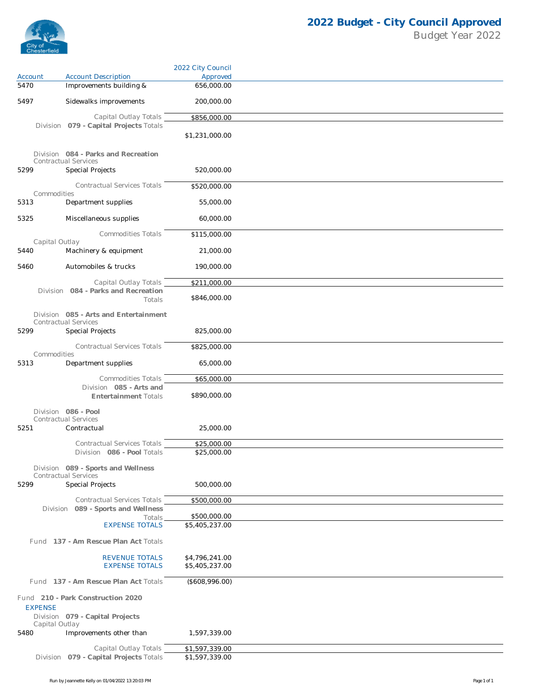

|                        |                                                                    | 2022 City Council                |  |
|------------------------|--------------------------------------------------------------------|----------------------------------|--|
| Account                | <b>Account Description</b>                                         | Approved                         |  |
| 5470                   | Improvements building &                                            | 656,000.00                       |  |
| 5497                   | Sidewalks improvements                                             | 200,000.00                       |  |
|                        | Capital Outlay Totals                                              | \$856,000.00                     |  |
|                        | Division 079 - Capital Projects Totals                             | \$1,231,000.00                   |  |
|                        | Division 084 - Parks and Recreation<br><b>Contractual Services</b> |                                  |  |
| 5299                   | <b>Special Projects</b>                                            | 520,000.00                       |  |
| Commodities            | <b>Contractual Services Totals</b>                                 | \$520,000.00                     |  |
| 5313                   | Department supplies                                                | 55,000.00                        |  |
| 5325                   | Miscellaneous supplies                                             | 60,000.00                        |  |
| Capital Outlay         | Commodities Totals                                                 | \$115,000.00                     |  |
| 5440                   | Machinery & equipment                                              | 21,000.00                        |  |
| 5460                   | Automobiles & trucks                                               | 190,000.00                       |  |
|                        | Capital Outlay Totals                                              | \$211,000.00                     |  |
|                        | Division 084 - Parks and Recreation<br>Totals                      | \$846,000.00                     |  |
|                        | Division 085 - Arts and Entertainment                              |                                  |  |
| 5299                   | <b>Contractual Services</b><br><b>Special Projects</b>             | 825,000.00                       |  |
| Commodities            | <b>Contractual Services Totals</b>                                 | \$825,000.00                     |  |
| 5313                   | Department supplies                                                | 65,000.00                        |  |
|                        | Commodities Totals                                                 | \$65,000.00                      |  |
|                        | Division 085 - Arts and<br><b>Entertainment Totals</b>             | \$890,000.00                     |  |
|                        | Division 086 - Pool<br>Contractual Services                        |                                  |  |
| 5251                   | Contractual                                                        | 25,000.00                        |  |
|                        |                                                                    |                                  |  |
|                        | Contractual Services Totals<br>Division 086 - Pool Totals          | \$25,000.00<br>\$25,000.00       |  |
|                        | Division 089 - Sports and Wellness                                 |                                  |  |
| 5299                   | <b>Contractual Services</b><br>Special Projects                    | 500,000.00                       |  |
|                        | Contractual Services Totals                                        | \$500,000.00                     |  |
|                        | Division 089 - Sports and Wellness                                 |                                  |  |
|                        | Totals<br><b>EXPENSE TOTALS</b>                                    | \$500,000.00<br>\$5,405,237.00   |  |
|                        | Fund 137 - Am Rescue Plan Act Totals                               |                                  |  |
|                        | <b>REVENUE TOTALS</b><br><b>EXPENSE TOTALS</b>                     | \$4,796,241.00<br>\$5,405,237.00 |  |
|                        | Fund 137 - Am Rescue Plan Act Totals                               | (\$608,996.00)                   |  |
|                        | Fund 210 - Park Construction 2020                                  |                                  |  |
| <b>EXPENSE</b>         | Division 079 - Capital Projects                                    |                                  |  |
| Capital Outlay<br>5480 | Improvements other than                                            | 1,597,339.00                     |  |
|                        | Capital Outlay Totals                                              | \$1,597,339.00                   |  |
|                        | Division 079 - Capital Projects Totals                             | \$1,597,339.00                   |  |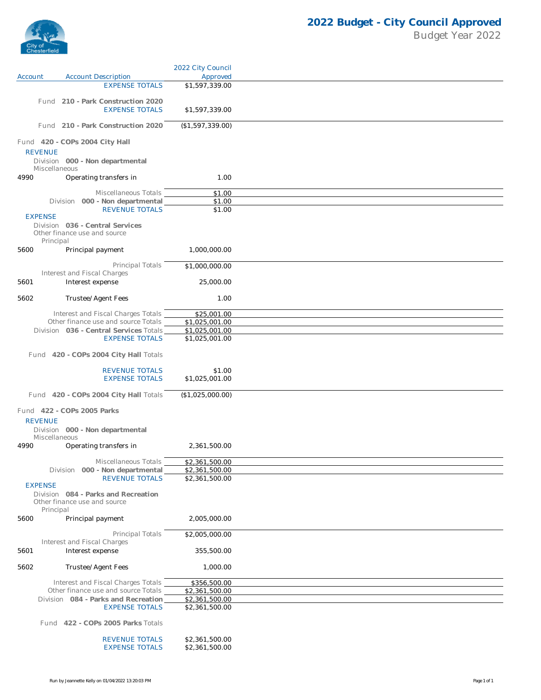

|                |                                                                     | 2022 City Council |  |
|----------------|---------------------------------------------------------------------|-------------------|--|
| Account        | <b>Account Description</b>                                          | Approved          |  |
|                | <b>EXPENSE TOTALS</b>                                               | \$1,597,339.00    |  |
|                |                                                                     |                   |  |
|                | Fund 210 - Park Construction 2020                                   |                   |  |
|                | <b>EXPENSE TOTALS</b>                                               | \$1,597,339.00    |  |
|                | Fund 210 - Park Construction 2020                                   | (\$1,597,339.00)  |  |
|                |                                                                     |                   |  |
|                | Fund 420 - COPs 2004 City Hall                                      |                   |  |
| <b>REVENUE</b> |                                                                     |                   |  |
|                | Division 000 - Non departmental                                     |                   |  |
|                | Miscellaneous                                                       |                   |  |
| 4990           | Operating transfers in                                              | 1.00              |  |
|                |                                                                     |                   |  |
|                | Miscellaneous Totals                                                | \$1.00            |  |
|                | Division 000 - Non departmental                                     | \$1.00            |  |
| <b>EXPENSE</b> | <b>REVENUE TOTALS</b>                                               | \$1.00            |  |
|                | Division 036 - Central Services                                     |                   |  |
|                | Other finance use and source                                        |                   |  |
| Principal      |                                                                     |                   |  |
| 5600           | Principal payment                                                   | 1,000,000.00      |  |
|                |                                                                     |                   |  |
|                | Principal Totals                                                    | \$1,000,000.00    |  |
| 5601           | Interest and Fiscal Charges                                         | 25,000.00         |  |
|                | Interest expense                                                    |                   |  |
| 5602           | Trustee/Agent Fees                                                  | 1.00              |  |
|                |                                                                     |                   |  |
|                | Interest and Fiscal Charges Totals                                  | \$25,001.00       |  |
|                | Other finance use and source Totals                                 | \$1,025,001.00    |  |
|                | Division 036 - Central Services Totals                              | \$1,025,001.00    |  |
|                | <b>EXPENSE TOTALS</b>                                               | \$1,025,001.00    |  |
|                | Fund 420 - COPs 2004 City Hall Totals                               |                   |  |
|                |                                                                     |                   |  |
|                | <b>REVENUE TOTALS</b>                                               | \$1.00            |  |
|                | <b>EXPENSE TOTALS</b>                                               | \$1,025,001.00    |  |
|                |                                                                     |                   |  |
|                | Fund 420 - COPs 2004 City Hall Totals                               | (\$1,025,000.00)  |  |
|                |                                                                     |                   |  |
|                | Fund 422 - COPs 2005 Parks                                          |                   |  |
| <b>REVENUE</b> |                                                                     |                   |  |
|                | Division 000 - Non departmental<br>Miscellaneous                    |                   |  |
| 4990           | Operating transfers in                                              | 2,361,500.00      |  |
|                |                                                                     |                   |  |
|                | Miscellaneous Totals                                                | \$2,361,500.00    |  |
|                | Division 000 - Non departmental                                     | \$2,361,500.00    |  |
|                | <b>REVENUE TOTALS</b>                                               | \$2,361,500.00    |  |
| <b>EXPENSE</b> |                                                                     |                   |  |
|                | Division 084 - Parks and Recreation<br>Other finance use and source |                   |  |
| Principal      |                                                                     |                   |  |
| 5600           | Principal payment                                                   | 2,005,000.00      |  |
|                |                                                                     |                   |  |
|                | Principal Totals                                                    | \$2,005,000.00    |  |
|                | Interest and Fiscal Charges                                         |                   |  |
| 5601           | Interest expense                                                    | 355,500.00        |  |
|                |                                                                     |                   |  |
| 5602           | Trustee/Agent Fees                                                  | 1,000.00          |  |
|                | Interest and Fiscal Charges Totals                                  | \$356,500.00      |  |
|                | Other finance use and source Totals                                 | \$2,361,500.00    |  |
|                | Division 084 - Parks and Recreation                                 | \$2,361,500.00    |  |
|                | <b>EXPENSE TOTALS</b>                                               | \$2,361,500.00    |  |
|                |                                                                     |                   |  |
|                | Fund 422 - COPs 2005 Parks Totals                                   |                   |  |
|                | <b>REVENUE TOTALS</b>                                               | \$2,361,500.00    |  |
|                | <b>EXPENSE TOTALS</b>                                               | \$2,361,500.00    |  |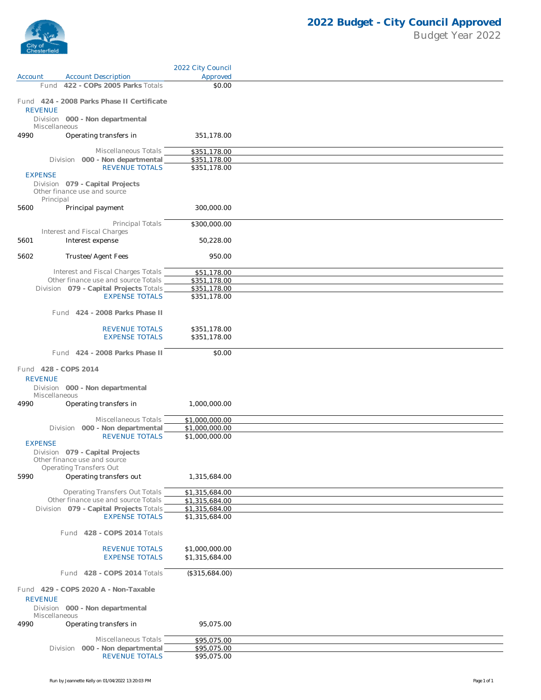

|                                 |                                                                               | 2022 City Council                |  |
|---------------------------------|-------------------------------------------------------------------------------|----------------------------------|--|
| Account                         | <b>Account Description</b>                                                    | Approved                         |  |
|                                 | Fund 422 - COPs 2005 Parks Totals                                             | \$0.00                           |  |
|                                 | Fund 424 - 2008 Parks Phase II Certificate                                    |                                  |  |
| <b>REVENUE</b><br>Miscellaneous | Division 000 - Non departmental                                               |                                  |  |
| 4990                            | Operating transfers in                                                        | 351,178.00                       |  |
|                                 | Miscellaneous Totals                                                          | \$351,178.00                     |  |
|                                 | Division 000 - Non departmental                                               | \$351,178.00                     |  |
|                                 | <b>REVENUE TOTALS</b>                                                         | \$351,178.00                     |  |
| <b>EXPENSE</b>                  | Division 079 - Capital Projects<br>Other finance use and source               |                                  |  |
| Principal<br>5600               | Principal payment                                                             | 300,000.00                       |  |
|                                 | Principal Totals                                                              | \$300,000.00                     |  |
|                                 | Interest and Fiscal Charges                                                   |                                  |  |
| 5601                            | Interest expense                                                              | 50,228.00                        |  |
| 5602                            | Trustee/Agent Fees                                                            | 950.00                           |  |
|                                 |                                                                               |                                  |  |
|                                 | Interest and Fiscal Charges Totals                                            | \$51,178.00                      |  |
|                                 | Other finance use and source Totals                                           | \$351,178.00                     |  |
|                                 | Division 079 - Capital Projects Totals<br><b>EXPENSE TOTALS</b>               | \$351,178.00<br>\$351,178.00     |  |
|                                 |                                                                               |                                  |  |
|                                 | Fund 424 - 2008 Parks Phase II                                                |                                  |  |
|                                 | <b>REVENUE TOTALS</b>                                                         | \$351,178.00                     |  |
|                                 | <b>EXPENSE TOTALS</b>                                                         | \$351,178.00                     |  |
|                                 | Fund 424 - 2008 Parks Phase II                                                | \$0.00                           |  |
| Fund 428 - COPS 2014            |                                                                               |                                  |  |
| <b>REVENUE</b>                  |                                                                               |                                  |  |
|                                 |                                                                               |                                  |  |
|                                 | Division 000 - Non departmental                                               |                                  |  |
| Miscellaneous                   |                                                                               |                                  |  |
| 4990                            | Operating transfers in                                                        | 1,000,000.00                     |  |
|                                 | Miscellaneous Totals                                                          | \$1,000,000.00                   |  |
|                                 | Division 000 - Non departmental                                               | \$1,000,000.00                   |  |
|                                 | <b>REVENUE TOTALS</b>                                                         | \$1,000,000.00                   |  |
| <b>EXPENSE</b>                  |                                                                               |                                  |  |
|                                 | Division 079 - Capital Projects                                               |                                  |  |
|                                 | Other finance use and source<br><b>Operating Transfers Out</b>                |                                  |  |
| 5990                            | Operating transfers out                                                       | 1,315,684.00                     |  |
|                                 |                                                                               |                                  |  |
|                                 | <b>Operating Transfers Out Totals</b>                                         | \$1,315,684.00                   |  |
|                                 | Other finance use and source Totals<br>Division 079 - Capital Projects Totals | \$1,315,684.00                   |  |
|                                 | <b>EXPENSE TOTALS</b>                                                         | \$1,315,684.00<br>\$1,315,684.00 |  |
|                                 |                                                                               |                                  |  |
|                                 | Fund 428 - COPS 2014 Totals                                                   |                                  |  |
|                                 | <b>REVENUE TOTALS</b>                                                         | \$1,000,000.00                   |  |
|                                 | <b>EXPENSE TOTALS</b>                                                         | \$1,315,684.00                   |  |
|                                 |                                                                               |                                  |  |
|                                 | Fund 428 - COPS 2014 Totals                                                   | (\$315,684.00)                   |  |
|                                 | Fund 429 - COPS 2020 A - Non-Taxable                                          |                                  |  |
| <b>REVENUE</b>                  |                                                                               |                                  |  |
|                                 | Division 000 - Non departmental                                               |                                  |  |
| Miscellaneous                   |                                                                               |                                  |  |
| 4990                            | Operating transfers in                                                        | 95,075.00                        |  |
|                                 | Miscellaneous Totals                                                          |                                  |  |
|                                 | Division 000 - Non departmental                                               | \$95,075.00<br>\$95,075.00       |  |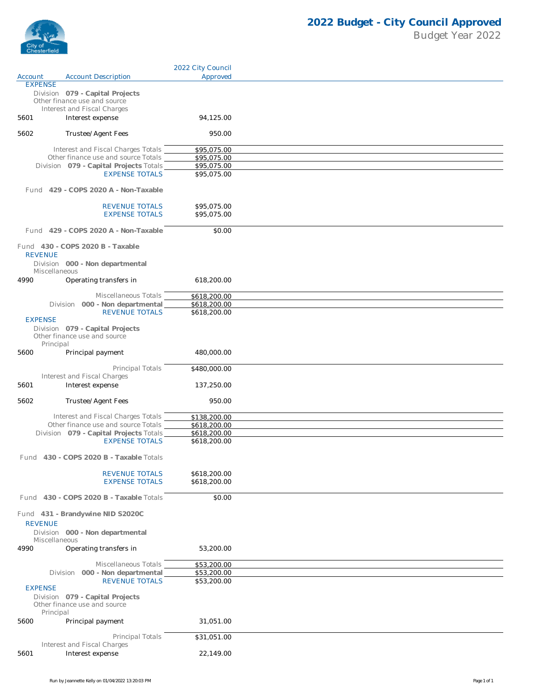

|                |                                                                               | 2022 City Council            |  |
|----------------|-------------------------------------------------------------------------------|------------------------------|--|
| Account        | <b>Account Description</b>                                                    | Approved                     |  |
| <b>EXPENSE</b> | Division 079 - Capital Projects<br>Other finance use and source               |                              |  |
| 5601           | Interest and Fiscal Charges<br>Interest expense                               | 94,125.00                    |  |
| 5602           | Trustee/Agent Fees                                                            | 950.00                       |  |
|                | Interest and Fiscal Charges Totals<br>Other finance use and source Totals     | \$95,075.00<br>\$95,075.00   |  |
|                | Division 079 - Capital Projects Totals                                        | \$95,075.00                  |  |
|                | <b>EXPENSE TOTALS</b>                                                         | \$95,075.00                  |  |
|                | Fund 429 - COPS 2020 A - Non-Taxable                                          |                              |  |
|                | <b>REVENUE TOTALS</b><br><b>EXPENSE TOTALS</b>                                | \$95,075.00<br>\$95,075.00   |  |
|                | Fund 429 - COPS 2020 A - Non-Taxable                                          | \$0.00                       |  |
| <b>REVENUE</b> | Fund 430 - COPS 2020 B - Taxable<br>Division 000 - Non departmental           |                              |  |
| 4990           | Miscellaneous<br>Operating transfers in                                       | 618,200.00                   |  |
|                |                                                                               |                              |  |
|                | Miscellaneous Totals                                                          | \$618,200.00<br>\$618,200.00 |  |
|                | Division 000 - Non departmental<br><b>REVENUE TOTALS</b>                      | \$618,200.00                 |  |
| <b>EXPENSE</b> | Division 079 - Capital Projects<br>Other finance use and source<br>Principal  |                              |  |
| 5600           | Principal payment                                                             | 480,000.00                   |  |
|                | Principal Totals<br>Interest and Fiscal Charges                               | \$480,000.00                 |  |
| 5601           | Interest expense                                                              | 137,250.00                   |  |
| 5602           | Trustee/Agent Fees                                                            | 950.00                       |  |
|                | Interest and Fiscal Charges Totals                                            | \$138,200.00                 |  |
|                | Other finance use and source Totals<br>Division 079 - Capital Projects Totals | \$618,200.00<br>\$618,200.00 |  |
|                | <b>EXPENSE TOTALS</b>                                                         | \$618,200.00                 |  |
|                | Fund 430 - COPS 2020 B - Taxable Totals                                       |                              |  |
|                | <b>REVENUE TOTALS</b><br><b>EXPENSE TOTALS</b>                                | \$618,200.00<br>\$618,200.00 |  |
|                | Fund 430 - COPS 2020 B - Taxable Totals                                       | \$0.00                       |  |
| <b>REVENUE</b> | Fund 431 - Brandywine NID S2020C                                              |                              |  |
|                | Division 000 - Non departmental<br>Miscellaneous                              |                              |  |
| 4990           | Operating transfers in                                                        | 53,200.00                    |  |
|                | Miscellaneous Totals                                                          | \$53,200.00                  |  |
|                | Division 000 - Non departmental<br><b>REVENUE TOTALS</b>                      | \$53,200.00<br>\$53,200.00   |  |
| <b>EXPENSE</b> |                                                                               |                              |  |
|                | Division 079 - Capital Projects<br>Other finance use and source<br>Principal  |                              |  |
| 5600           | Principal payment                                                             | 31,051.00                    |  |
|                | Principal Totals<br>Interest and Fiscal Charges                               | \$31,051.00                  |  |
| 5601           | Interest expense                                                              | 22,149.00                    |  |